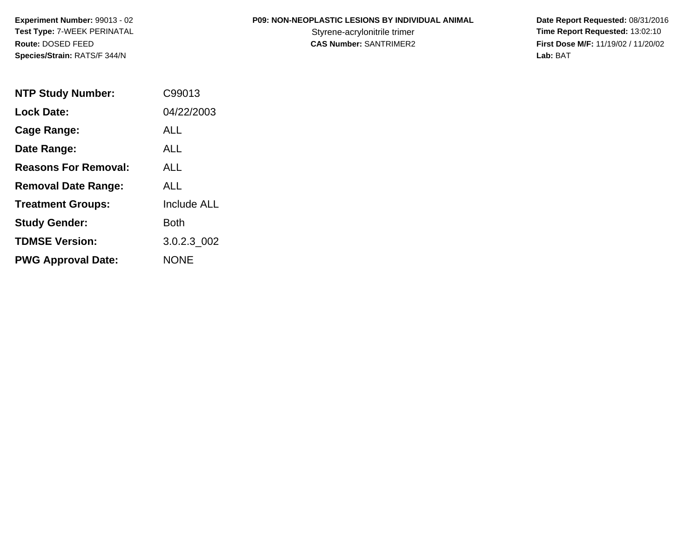# **P09: NON-NEOPLASTIC LESIONS BY INDIVIDUAL ANIMAL**

| <b>NTP Study Number:</b>    | C99013             |
|-----------------------------|--------------------|
| <b>Lock Date:</b>           | 04/22/2003         |
| Cage Range:                 | ALL                |
| Date Range:                 | ALL                |
| <b>Reasons For Removal:</b> | ALL                |
| <b>Removal Date Range:</b>  | ALL                |
| <b>Treatment Groups:</b>    | <b>Include ALL</b> |
| <b>Study Gender:</b>        | Both               |
| <b>TDMSE Version:</b>       | 3.0.2.3 002        |
| <b>PWG Approval Date:</b>   | <b>NONE</b>        |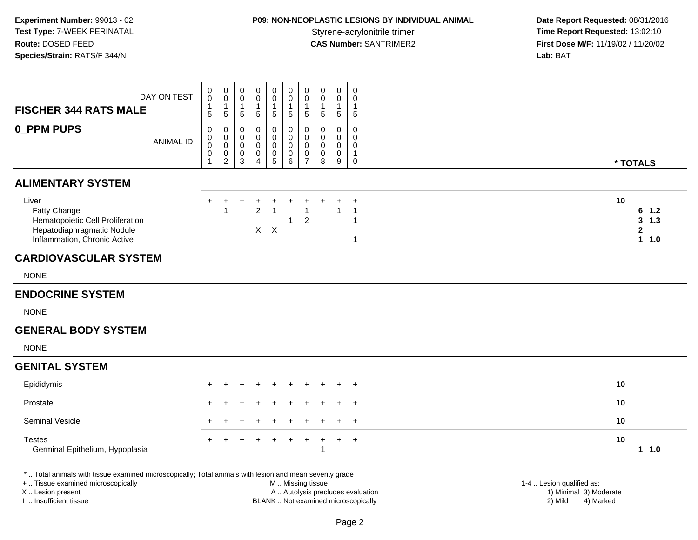# **P09: NON-NEOPLASTIC LESIONS BY INDIVIDUAL ANIMAL**

 **Date Report Requested:** 08/31/2016 Styrene-acrylonitrile trimer<br> **CAS Number:** SANTRIMER2<br> **CAS Number:** SANTRIMER2<br> **Time Report Requested:** 13:02:10 **First Dose M/F:** 11/19/02 / 11/20/02<br>Lab: BAT **Lab:** BAT

| <b>FISCHER 344 RATS MALE</b>                                                                                                                                        | DAY ON TEST      | 0<br>$\mathsf{O}\xspace$<br>$\mathbf{1}$<br>$5\phantom{.0}$ | 0<br>$\mathsf 0$<br>$\mathbf{1}$<br>$\overline{5}$               | 0<br>$\pmb{0}$<br>$\overline{1}$<br>$\sqrt{5}$                           | 0<br>0<br>$\overline{1}$<br>$\sqrt{5}$    | 0<br>$\mathbf 0$<br>$\mathbf{1}$<br>5     | 0<br>0<br>1<br>$5\phantom{.0}$ | 0<br>$\mathsf{O}\xspace$<br>$\mathbf{1}$<br>5  | 0<br>$\mathbf 0$<br>$\mathbf{1}$<br>$\overline{5}$ | 0<br>$\mathbf 0$<br>$\mathbf{1}$<br>$\sqrt{5}$ | $\pmb{0}$<br>0<br>$\mathbf{1}$<br>$\sqrt{5}$       |                                   |                                                     |                                                |
|---------------------------------------------------------------------------------------------------------------------------------------------------------------------|------------------|-------------------------------------------------------------|------------------------------------------------------------------|--------------------------------------------------------------------------|-------------------------------------------|-------------------------------------------|--------------------------------|------------------------------------------------|----------------------------------------------------|------------------------------------------------|----------------------------------------------------|-----------------------------------|-----------------------------------------------------|------------------------------------------------|
| 0_PPM PUPS                                                                                                                                                          | <b>ANIMAL ID</b> | 0<br>0<br>$\pmb{0}$<br>$\mathsf{O}\xspace$<br>1             | $\mathbf 0$<br>$\mathbf 0$<br>$\mathbf 0$<br>0<br>$\overline{2}$ | $\mathbf 0$<br>$\mathbf 0$<br>$\mathbf 0$<br>$\mathbf 0$<br>$\mathbf{3}$ | 0<br>0<br>$\mathbf 0$<br>$\mathbf 0$<br>4 | 0<br>0<br>$\mathbf 0$<br>$\mathbf 0$<br>5 | 0<br>0<br>0<br>$\pmb{0}$<br>6  | 0<br>0<br>$\mathsf{O}\xspace$<br>$\frac{0}{7}$ | 0<br>0<br>$\mathbf 0$<br>$\mathbf 0$<br>8          | 0<br>$\mathbf 0$<br>0<br>$\pmb{0}$<br>$9\,$    | 0<br>0<br>0<br>$\mathbf{1}$<br>$\mathbf 0$         |                                   |                                                     | * TOTALS                                       |
| <b>ALIMENTARY SYSTEM</b>                                                                                                                                            |                  |                                                             |                                                                  |                                                                          |                                           |                                           |                                |                                                |                                                    |                                                |                                                    |                                   |                                                     |                                                |
| Liver<br>Fatty Change<br>Hematopoietic Cell Proliferation<br>Hepatodiaphragmatic Nodule<br>Inflammation, Chronic Active                                             |                  | ÷                                                           | ÷                                                                |                                                                          | $\overline{2}$<br>$X -$                   | $\mathsf{X}$                              | $\mathbf{1}$                   | $\overline{2}$                                 |                                                    |                                                | $\overline{1}$<br>$\overline{1}$<br>$\overline{1}$ |                                   | 10                                                  | 6<br>1.2<br>3<br>$1.3$<br>$\mathbf{2}$<br>11.0 |
| <b>CARDIOVASCULAR SYSTEM</b>                                                                                                                                        |                  |                                                             |                                                                  |                                                                          |                                           |                                           |                                |                                                |                                                    |                                                |                                                    |                                   |                                                     |                                                |
| <b>NONE</b>                                                                                                                                                         |                  |                                                             |                                                                  |                                                                          |                                           |                                           |                                |                                                |                                                    |                                                |                                                    |                                   |                                                     |                                                |
| <b>ENDOCRINE SYSTEM</b>                                                                                                                                             |                  |                                                             |                                                                  |                                                                          |                                           |                                           |                                |                                                |                                                    |                                                |                                                    |                                   |                                                     |                                                |
| <b>NONE</b>                                                                                                                                                         |                  |                                                             |                                                                  |                                                                          |                                           |                                           |                                |                                                |                                                    |                                                |                                                    |                                   |                                                     |                                                |
| <b>GENERAL BODY SYSTEM</b>                                                                                                                                          |                  |                                                             |                                                                  |                                                                          |                                           |                                           |                                |                                                |                                                    |                                                |                                                    |                                   |                                                     |                                                |
| <b>NONE</b>                                                                                                                                                         |                  |                                                             |                                                                  |                                                                          |                                           |                                           |                                |                                                |                                                    |                                                |                                                    |                                   |                                                     |                                                |
| <b>GENITAL SYSTEM</b>                                                                                                                                               |                  |                                                             |                                                                  |                                                                          |                                           |                                           |                                |                                                |                                                    |                                                |                                                    |                                   |                                                     |                                                |
| Epididymis                                                                                                                                                          |                  |                                                             |                                                                  |                                                                          |                                           |                                           |                                |                                                |                                                    |                                                | $+$                                                |                                   | 10                                                  |                                                |
| Prostate                                                                                                                                                            |                  |                                                             |                                                                  |                                                                          |                                           |                                           |                                |                                                |                                                    |                                                |                                                    |                                   | 10                                                  |                                                |
| Seminal Vesicle                                                                                                                                                     |                  |                                                             |                                                                  |                                                                          |                                           |                                           |                                |                                                |                                                    |                                                | $\overline{1}$                                     |                                   | 10                                                  |                                                |
| <b>Testes</b><br>Germinal Epithelium, Hypoplasia                                                                                                                    |                  |                                                             |                                                                  |                                                                          |                                           |                                           |                                |                                                | $\div$<br>-1                                       | $+$                                            | $^{+}$                                             |                                   | 10                                                  | 11.0                                           |
| *  Total animals with tissue examined microscopically; Total animals with lesion and mean severity grade<br>+  Tissue examined microscopically<br>X  Lesion present |                  |                                                             |                                                                  |                                                                          |                                           |                                           | M  Missing tissue              |                                                |                                                    |                                                |                                                    | A  Autolysis precludes evaluation | 1-4  Lesion qualified as:<br>1) Minimal 3) Moderate |                                                |

I .. Insufficient tissue

Page 2

BLANK .. Not examined microscopically and the contract of the contract of the contract of Modellin 2) Mild 4) Marked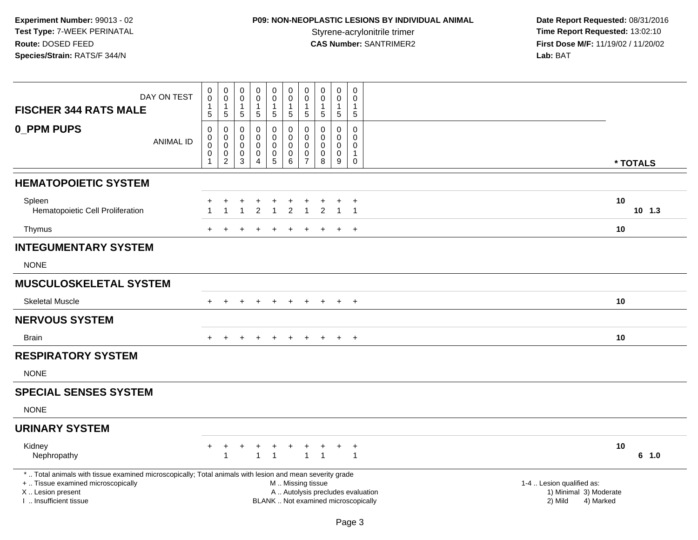# **P09: NON-NEOPLASTIC LESIONS BY INDIVIDUAL ANIMAL**

 **Date Report Requested:** 08/31/2016 Styrene-acrylonitrile trimer<br> **CAS Number:** SANTRIMER2 **Time Report Requested:** 13:02:10<br> **First Dose M/F:** 11/19/02 / 11/20/02 **First Dose M/F:** 11/19/02 / 11/20/02<br>Lab: BAT **Lab:** BAT

| DAY ON TEST                                                                                              | $\pmb{0}$<br>$\overline{0}$<br>$\mathbf{1}$                      | $\mathbf 0$<br>$\tilde{0}$<br>$\mathbf{1}$           | 0<br>0<br>$\mathbf{1}$                             | $\mathbf 0$<br>$\tilde{0}$<br>1                                | $_{\rm 0}^{\rm 0}$<br>$\mathbf{1}$                                                     | $\mathsf 0$<br>$\ddot{\mathbf{0}}$<br>$\mathbf{1}$                                            | $\mathbf 0$<br>$\mathbf 0$                          | $\mathbf 0$<br>$\overline{0}$<br>$\mathbf{1}$               | $\mathbf 0$<br>$\overline{0}$<br>$\mathbf{1}$                  | 0<br>$\mathbf 0$<br>$\mathbf{1}$                                               |                                      |                                     |
|----------------------------------------------------------------------------------------------------------|------------------------------------------------------------------|------------------------------------------------------|----------------------------------------------------|----------------------------------------------------------------|----------------------------------------------------------------------------------------|-----------------------------------------------------------------------------------------------|-----------------------------------------------------|-------------------------------------------------------------|----------------------------------------------------------------|--------------------------------------------------------------------------------|--------------------------------------|-------------------------------------|
| <b>FISCHER 344 RATS MALE</b>                                                                             | $\overline{5}$                                                   | 5                                                    | $5\phantom{.0}$                                    | $\sqrt{5}$                                                     | $\overline{5}$                                                                         | $\sqrt{5}$                                                                                    | 1<br>$\sqrt{5}$                                     | $\overline{5}$                                              | 5                                                              | $5\phantom{.0}$                                                                |                                      |                                     |
| <b>0_PPM PUPS</b><br><b>ANIMAL ID</b>                                                                    | $\pmb{0}$<br>$\pmb{0}$<br>$\pmb{0}$<br>$\pmb{0}$<br>$\mathbf{1}$ | $\pmb{0}$<br>0<br>$\mathbf 0$<br>0<br>$\overline{2}$ | $\mathbf 0$<br>0<br>0<br>$\,0\,$<br>$\overline{3}$ | 0<br>$\mathbf 0$<br>$\mathbf 0$<br>$\pmb{0}$<br>$\overline{4}$ | $\pmb{0}$<br>$\mathsf{O}\xspace$<br>$\pmb{0}$<br>$\begin{array}{c} 0 \\ 5 \end{array}$ | $\pmb{0}$<br>$\mathbf 0$<br>$\mathbf 0$<br>$\boldsymbol{0}$<br>$6\phantom{1}6$                | $\Omega$<br>$\mathbf 0$<br>0<br>0<br>$\overline{7}$ | $\Omega$<br>0<br>$\mathbf 0$<br>$\pmb{0}$<br>$\overline{8}$ | 0<br>$\mathbf 0$<br>$\mathbf 0$<br>$\pmb{0}$<br>$\overline{9}$ | $\mathsf{O}\xspace$<br>$\mathbf 0$<br>$\mathbf 0$<br>$\mathbf{1}$<br>$\pmb{0}$ |                                      | * TOTALS                            |
|                                                                                                          |                                                                  |                                                      |                                                    |                                                                |                                                                                        |                                                                                               |                                                     |                                                             |                                                                |                                                                                |                                      |                                     |
| <b>HEMATOPOIETIC SYSTEM</b>                                                                              |                                                                  |                                                      |                                                    |                                                                |                                                                                        |                                                                                               |                                                     |                                                             |                                                                |                                                                                |                                      |                                     |
| Spleen<br>Hematopoietic Cell Proliferation                                                               |                                                                  | $\mathbf{1}$                                         | $\overline{1}$                                     | $\ddot{}$<br>$\overline{2}$                                    | +<br>$\overline{1}$                                                                    | $\ddot{}$<br>$\overline{2}$                                                                   | $\mathbf{1}$                                        | $\overline{2}$                                              | +<br>$\overline{1}$                                            | $+$<br>$\overline{1}$                                                          |                                      | 10<br>$10$ 1.3                      |
| Thymus                                                                                                   |                                                                  |                                                      |                                                    |                                                                |                                                                                        |                                                                                               |                                                     |                                                             | $\ddot{}$                                                      | $+$                                                                            |                                      | 10                                  |
| <b>INTEGUMENTARY SYSTEM</b>                                                                              |                                                                  |                                                      |                                                    |                                                                |                                                                                        |                                                                                               |                                                     |                                                             |                                                                |                                                                                |                                      |                                     |
| <b>NONE</b>                                                                                              |                                                                  |                                                      |                                                    |                                                                |                                                                                        |                                                                                               |                                                     |                                                             |                                                                |                                                                                |                                      |                                     |
| <b>MUSCULOSKELETAL SYSTEM</b>                                                                            |                                                                  |                                                      |                                                    |                                                                |                                                                                        |                                                                                               |                                                     |                                                             |                                                                |                                                                                |                                      |                                     |
| <b>Skeletal Muscle</b>                                                                                   |                                                                  | $\ddot{}$                                            | $\pm$                                              | $+$                                                            | $+$                                                                                    | $+$                                                                                           | $+$                                                 | $+$                                                         | $+$                                                            | $+$                                                                            |                                      | 10                                  |
| <b>NERVOUS SYSTEM</b>                                                                                    |                                                                  |                                                      |                                                    |                                                                |                                                                                        |                                                                                               |                                                     |                                                             |                                                                |                                                                                |                                      |                                     |
| <b>Brain</b>                                                                                             |                                                                  |                                                      |                                                    |                                                                |                                                                                        |                                                                                               |                                                     |                                                             | $+$                                                            | $+$                                                                            |                                      | 10                                  |
| <b>RESPIRATORY SYSTEM</b>                                                                                |                                                                  |                                                      |                                                    |                                                                |                                                                                        |                                                                                               |                                                     |                                                             |                                                                |                                                                                |                                      |                                     |
| <b>NONE</b>                                                                                              |                                                                  |                                                      |                                                    |                                                                |                                                                                        |                                                                                               |                                                     |                                                             |                                                                |                                                                                |                                      |                                     |
| <b>SPECIAL SENSES SYSTEM</b>                                                                             |                                                                  |                                                      |                                                    |                                                                |                                                                                        |                                                                                               |                                                     |                                                             |                                                                |                                                                                |                                      |                                     |
| <b>NONE</b>                                                                                              |                                                                  |                                                      |                                                    |                                                                |                                                                                        |                                                                                               |                                                     |                                                             |                                                                |                                                                                |                                      |                                     |
| <b>URINARY SYSTEM</b>                                                                                    |                                                                  |                                                      |                                                    |                                                                |                                                                                        |                                                                                               |                                                     |                                                             |                                                                |                                                                                |                                      |                                     |
| Kidney<br>Nephropathy                                                                                    |                                                                  | $\mathbf{1}$                                         |                                                    | $\mathbf{1}$                                                   | $\overline{1}$                                                                         |                                                                                               | $\mathbf{1}$                                        | $\overline{1}$                                              | $\ddot{}$                                                      | $\ddot{}$<br>$\overline{1}$                                                    |                                      | 10<br>6 1.0                         |
| *  Total animals with tissue examined microscopically; Total animals with lesion and mean severity grade |                                                                  |                                                      |                                                    |                                                                |                                                                                        |                                                                                               |                                                     |                                                             |                                                                |                                                                                |                                      |                                     |
| +  Tissue examined microscopically<br>X  Lesion present<br>I. Insufficient tissue                        |                                                                  |                                                      |                                                    |                                                                |                                                                                        | M  Missing tissue<br>A  Autolysis precludes evaluation<br>BLANK  Not examined microscopically |                                                     |                                                             |                                                                |                                                                                | 1-4  Lesion qualified as:<br>2) Mild | 1) Minimal 3) Moderate<br>4) Marked |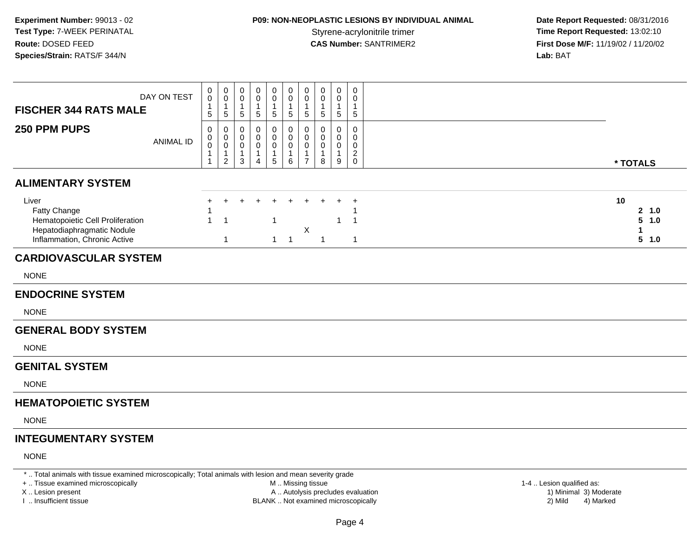# **P09: NON-NEOPLASTIC LESIONS BY INDIVIDUAL ANIMAL**

 **Date Report Requested:** 08/31/2016 Styrene-acrylonitrile trimer<br> **CAS Number:** SANTRIMER2<br> **CAS Number:** SANTRIMER2<br> **Time Report Requested:** 13:02:10 **First Dose M/F:** 11/19/02 / 11/20/02 Lab: BAT **Lab:** BAT

| <b>FISCHER 344 RATS MALE</b>                                                                                                                   | DAY ON TEST      | $\pmb{0}$<br>$\pmb{0}$<br>$\mathbf{1}$<br>5 | $\mathbf 0$<br>$\mathbf 0$<br>$\mathbf{1}$<br>$5\phantom{.0}$               | $\pmb{0}$<br>$\pmb{0}$<br>$\mathbf{1}$<br>$\sqrt{5}$                         | $\mathbf 0$<br>0<br>$\overline{1}$<br>5                | $\pmb{0}$<br>$\pmb{0}$<br>$\mathbf{1}$<br>5                               | 0<br>$\mathbf 0$<br>1<br>5              | 0<br>$\pmb{0}$<br>$\mathbf{1}$<br>$5\phantom{.0}$                           | $\pmb{0}$<br>0<br>$\mathbf{1}$<br>5        | $\mathbf 0$<br>0<br>$\mathbf{1}$<br>$\overline{5}$ | $\pmb{0}$<br>$\mathbf 0$<br>$\mathbf 1$<br>$5\phantom{.0}$ |                                  |
|------------------------------------------------------------------------------------------------------------------------------------------------|------------------|---------------------------------------------|-----------------------------------------------------------------------------|------------------------------------------------------------------------------|--------------------------------------------------------|---------------------------------------------------------------------------|-----------------------------------------|-----------------------------------------------------------------------------|--------------------------------------------|----------------------------------------------------|------------------------------------------------------------|----------------------------------|
| 250 PPM PUPS                                                                                                                                   | <b>ANIMAL ID</b> | 0<br>0<br>$\mathbf 0$<br>1<br>1             | $\mathbf 0$<br>$\mathbf 0$<br>$\mathbf 0$<br>$\mathbf{1}$<br>$\overline{2}$ | $\boldsymbol{0}$<br>$\pmb{0}$<br>$\mathbf 0$<br>$\mathbf{1}$<br>$\mathbf{3}$ | $\mathbf 0$<br>0<br>$\mathbf 0$<br>$\overline{1}$<br>4 | $\mathbf 0$<br>$\pmb{0}$<br>$\mathbf 0$<br>$\mathbf{1}$<br>$\overline{5}$ | 0<br>$\mathbf 0$<br>$\pmb{0}$<br>1<br>6 | $\mathbf 0$<br>$\mathsf 0$<br>$\mathbf 0$<br>$\mathbf{1}$<br>$\overline{7}$ | $\mathbf 0$<br>0<br>0<br>$\mathbf{1}$<br>8 | $\mathbf 0$<br>0<br>0<br>$\mathbf{1}$<br>9         | $\mathsf{O}\xspace$<br>0<br>$\mathbf 0$<br>$^2_{\rm 0}$    | * TOTALS                         |
| <b>ALIMENTARY SYSTEM</b>                                                                                                                       |                  |                                             |                                                                             |                                                                              |                                                        |                                                                           |                                         |                                                                             |                                            |                                                    |                                                            |                                  |
| Liver<br>Fatty Change<br>Hematopoietic Cell Proliferation<br>Hepatodiaphragmatic Nodule<br>Inflammation, Chronic Active                        |                  | ٠<br>$\mathbf{1}$                           | $\ddot{}$<br>$\overline{1}$<br>$\mathbf{1}$                                 |                                                                              |                                                        | $\mathbf{1}$                                                              | $1 \quad 1$                             | $\mathsf X$                                                                 | $\overline{1}$                             | $\mathbf{1}$                                       | $\overline{1}$<br>$\overline{1}$<br>$\mathbf{1}$           | 10<br>2 1.0<br>5<br>1.0<br>5 1.0 |
| <b>CARDIOVASCULAR SYSTEM</b>                                                                                                                   |                  |                                             |                                                                             |                                                                              |                                                        |                                                                           |                                         |                                                                             |                                            |                                                    |                                                            |                                  |
| <b>NONE</b>                                                                                                                                    |                  |                                             |                                                                             |                                                                              |                                                        |                                                                           |                                         |                                                                             |                                            |                                                    |                                                            |                                  |
| <b>ENDOCRINE SYSTEM</b>                                                                                                                        |                  |                                             |                                                                             |                                                                              |                                                        |                                                                           |                                         |                                                                             |                                            |                                                    |                                                            |                                  |
| <b>NONE</b>                                                                                                                                    |                  |                                             |                                                                             |                                                                              |                                                        |                                                                           |                                         |                                                                             |                                            |                                                    |                                                            |                                  |
| <b>GENERAL BODY SYSTEM</b>                                                                                                                     |                  |                                             |                                                                             |                                                                              |                                                        |                                                                           |                                         |                                                                             |                                            |                                                    |                                                            |                                  |
| <b>NONE</b>                                                                                                                                    |                  |                                             |                                                                             |                                                                              |                                                        |                                                                           |                                         |                                                                             |                                            |                                                    |                                                            |                                  |
| <b>GENITAL SYSTEM</b>                                                                                                                          |                  |                                             |                                                                             |                                                                              |                                                        |                                                                           |                                         |                                                                             |                                            |                                                    |                                                            |                                  |
| <b>NONE</b>                                                                                                                                    |                  |                                             |                                                                             |                                                                              |                                                        |                                                                           |                                         |                                                                             |                                            |                                                    |                                                            |                                  |
| <b>HEMATOPOIETIC SYSTEM</b>                                                                                                                    |                  |                                             |                                                                             |                                                                              |                                                        |                                                                           |                                         |                                                                             |                                            |                                                    |                                                            |                                  |
| <b>NONE</b>                                                                                                                                    |                  |                                             |                                                                             |                                                                              |                                                        |                                                                           |                                         |                                                                             |                                            |                                                    |                                                            |                                  |
| <b>INTEGUMENTARY SYSTEM</b>                                                                                                                    |                  |                                             |                                                                             |                                                                              |                                                        |                                                                           |                                         |                                                                             |                                            |                                                    |                                                            |                                  |
| <b>NONE</b>                                                                                                                                    |                  |                                             |                                                                             |                                                                              |                                                        |                                                                           |                                         |                                                                             |                                            |                                                    |                                                            |                                  |
| *  Total animals with tissue examined microscopically; Total animals with lesion and mean severity grade<br>+  Tissue examined microscopically |                  |                                             |                                                                             |                                                                              |                                                        |                                                                           | M  Missing tissue                       |                                                                             |                                            |                                                    |                                                            | 1-4  Lesion qualified as:        |

X .. Lesion present

I .. Insufficient tissue

M .. Missing tissue

BLANK .. Not examined microscopically 2) Mild 4) Marked

A .. Autolysis precludes evaluation 1) Minimal 3) Moderate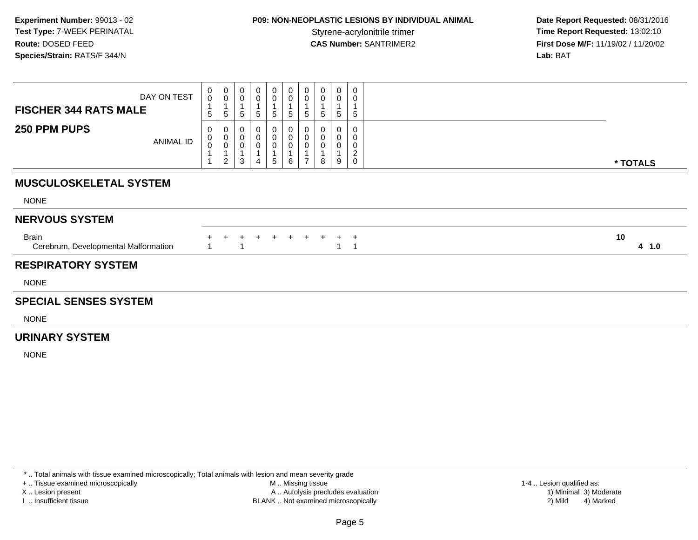## **P09: NON-NEOPLASTIC LESIONS BY INDIVIDUAL ANIMAL**

 **Date Report Requested:** 08/31/2016 **Time Report Requested: 13:02:10 CAS Number:** SANTRIMER2 **First Dose M/F:** 11/19/02 / 11/20/02 **Lab:** BAT

| DAY ON TEST<br><b>FISCHER 344 RATS MALE</b>          | 0<br>$\mathsf{O}$<br>$5\phantom{.0}$ | $_{\rm 0}^{\rm 0}$<br>$\overline{A}$<br>5                   | 0<br>0<br>5                   | 0<br>0<br>$\sqrt{5}$             | 0<br>0<br>$\overline{A}$<br>5    | 0<br>$\pmb{0}$<br>$\mathbf{1}$<br>5 | 0<br>0<br>1<br>$\sqrt{5}$     | 0<br>0<br>5 | $\mathbf 0$<br>0<br>5 | $\mathbf 0$<br>0<br>5                                  |  |             |
|------------------------------------------------------|--------------------------------------|-------------------------------------------------------------|-------------------------------|----------------------------------|----------------------------------|-------------------------------------|-------------------------------|-------------|-----------------------|--------------------------------------------------------|--|-------------|
| 250 PPM PUPS<br>ANIMAL ID                            | 0<br>0<br>$\mathbf 0$                | $\mathbf 0$<br>$\mathbf 0$<br>$\mathsf 0$<br>$\overline{2}$ | $\pmb{0}$<br>$\mathbf 0$<br>3 | 0<br>$\pmb{0}$<br>$\pmb{0}$<br>4 | 0<br>$\pmb{0}$<br>$\pmb{0}$<br>5 | 0<br>$\pmb{0}$<br>0<br>6            | 0<br>0<br>0<br>$\overline{ }$ | 0<br>0<br>8 | 0<br>0<br>9           | 0<br>0<br>$\mathbf 0$<br>$\overline{c}$<br>$\mathbf 0$ |  | * TOTALS    |
| <b>MUSCULOSKELETAL SYSTEM</b>                        |                                      |                                                             |                               |                                  |                                  |                                     |                               |             |                       |                                                        |  |             |
| <b>NONE</b>                                          |                                      |                                                             |                               |                                  |                                  |                                     |                               |             |                       |                                                        |  |             |
| <b>NERVOUS SYSTEM</b>                                |                                      |                                                             |                               |                                  |                                  |                                     |                               |             |                       |                                                        |  |             |
| <b>Brain</b><br>Cerebrum, Developmental Malformation |                                      |                                                             |                               | +                                | $\div$                           | $+$                                 | $+$                           | $\pm$       |                       | $+$ $+$                                                |  | 10<br>4 1.0 |
| <b>RESPIRATORY SYSTEM</b>                            |                                      |                                                             |                               |                                  |                                  |                                     |                               |             |                       |                                                        |  |             |
| <b>NONE</b>                                          |                                      |                                                             |                               |                                  |                                  |                                     |                               |             |                       |                                                        |  |             |
| <b>SPECIAL SENSES SYSTEM</b>                         |                                      |                                                             |                               |                                  |                                  |                                     |                               |             |                       |                                                        |  |             |
| <b>NONE</b>                                          |                                      |                                                             |                               |                                  |                                  |                                     |                               |             |                       |                                                        |  |             |

#### **URINARY SYSTEM**

NONE

\* .. Total animals with tissue examined microscopically; Total animals with lesion and mean severity grade

+ .. Tissue examined microscopically

X .. Lesion present

I .. Insufficient tissue

 M .. Missing tissueA .. Autolysis precludes evaluation

BLANK .. Not examined microscopically 2) Mild 4) Marked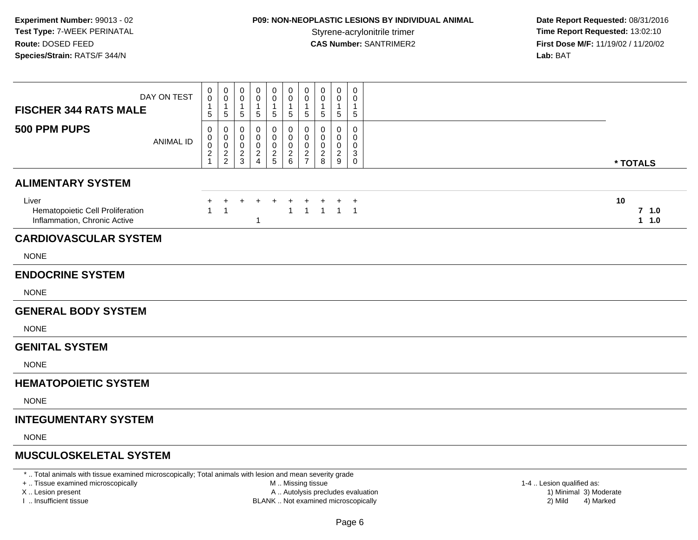## **P09: NON-NEOPLASTIC LESIONS BY INDIVIDUAL ANIMAL**

 **Date Report Requested:** 08/31/2016 **Time Report Requested: 13:02:10 CAS Number:** SANTRIMER2 **First Dose M/F:** 11/19/02 / 11/20/02 **Lab:** BAT

| DAY ON TEST<br><b>FISCHER 344 RATS MALE</b>                               | 0<br>$\mathbf 0$<br>1<br>5                            | 0<br>0<br>1<br>$\sqrt{5}$    | 0<br>$\mathbf 0$<br>$\overline{1}$<br>$\overline{5}$      | 0<br>0<br>5                                     | 0<br>0<br>1<br>$\sqrt{5}$  | 0<br>0<br>5                        | 0<br>0<br>$5\phantom{.0}$                       | 0<br>$\mathbf 0$<br>$\mathbf{1}$<br>$\sqrt{5}$       | 0<br>$\mathbf{0}$<br>$\overline{1}$<br>$\,$ 5 $\,$ | 0<br>$\mathbf 0$<br>$\mathbf{1}$<br>$\sqrt{5}$ |          |                             |
|---------------------------------------------------------------------------|-------------------------------------------------------|------------------------------|-----------------------------------------------------------|-------------------------------------------------|----------------------------|------------------------------------|-------------------------------------------------|------------------------------------------------------|----------------------------------------------------|------------------------------------------------|----------|-----------------------------|
| 500 PPM PUPS<br><b>ANIMAL ID</b>                                          | 0<br>0<br>$\,0\,$<br>$\overline{c}$<br>$\overline{1}$ | 0<br>0<br>0<br>$\frac{2}{2}$ | 0<br>0<br>$\mathbf 0$<br>$\boldsymbol{2}$<br>$\mathbf{3}$ | 0<br>0<br>0<br>$\overline{c}$<br>$\overline{4}$ | 0<br>0<br>0<br>$rac{2}{5}$ | 0<br>0<br>0<br>$\overline{a}$<br>6 | 0<br>0<br>0<br>$\overline{a}$<br>$\overline{7}$ | 0<br>0<br>$\mathbf 0$<br>$\boldsymbol{2}$<br>$\,8\,$ | 0<br>0<br>0<br>$\overline{2}$<br>$\mathsf g$       | 0<br>0<br>$\mathbf 0$<br>3<br>$\mathbf 0$      | * TOTALS |                             |
| <b>ALIMENTARY SYSTEM</b>                                                  |                                                       |                              |                                                           |                                                 |                            |                                    |                                                 |                                                      |                                                    |                                                |          |                             |
| Liver<br>Hematopoietic Cell Proliferation<br>Inflammation, Chronic Active | 1                                                     | +<br>$\overline{1}$          | ÷                                                         | $\ddot{}$<br>-1                                 |                            | $\overline{+}$<br>$\mathbf{1}$     | $\ddot{}$<br>$\mathbf{1}$                       | $\ddot{}$<br>$\overline{1}$                          |                                                    | $^{+}$<br>$1 \quad 1$                          | 10       | 7 <sub>1.0</sub><br>$1 1.0$ |
| <b>CARDIOVASCULAR SYSTEM</b>                                              |                                                       |                              |                                                           |                                                 |                            |                                    |                                                 |                                                      |                                                    |                                                |          |                             |
| <b>NONE</b>                                                               |                                                       |                              |                                                           |                                                 |                            |                                    |                                                 |                                                      |                                                    |                                                |          |                             |
| <b>ENDOCRINE SYSTEM</b>                                                   |                                                       |                              |                                                           |                                                 |                            |                                    |                                                 |                                                      |                                                    |                                                |          |                             |
| <b>NONE</b>                                                               |                                                       |                              |                                                           |                                                 |                            |                                    |                                                 |                                                      |                                                    |                                                |          |                             |
| <b>GENERAL BODY SYSTEM</b>                                                |                                                       |                              |                                                           |                                                 |                            |                                    |                                                 |                                                      |                                                    |                                                |          |                             |
| <b>NONE</b>                                                               |                                                       |                              |                                                           |                                                 |                            |                                    |                                                 |                                                      |                                                    |                                                |          |                             |
| <b>GENITAL SYSTEM</b>                                                     |                                                       |                              |                                                           |                                                 |                            |                                    |                                                 |                                                      |                                                    |                                                |          |                             |
| <b>NONE</b>                                                               |                                                       |                              |                                                           |                                                 |                            |                                    |                                                 |                                                      |                                                    |                                                |          |                             |
| <b>HEMATOPOIETIC SYSTEM</b>                                               |                                                       |                              |                                                           |                                                 |                            |                                    |                                                 |                                                      |                                                    |                                                |          |                             |
| <b>NONE</b>                                                               |                                                       |                              |                                                           |                                                 |                            |                                    |                                                 |                                                      |                                                    |                                                |          |                             |
| <b>INTEGUMENTARY SYSTEM</b>                                               |                                                       |                              |                                                           |                                                 |                            |                                    |                                                 |                                                      |                                                    |                                                |          |                             |
| <b>NONE</b>                                                               |                                                       |                              |                                                           |                                                 |                            |                                    |                                                 |                                                      |                                                    |                                                |          |                             |
| <b>MUSCULOSKELETAL SYSTEM</b>                                             |                                                       |                              |                                                           |                                                 |                            |                                    |                                                 |                                                      |                                                    |                                                |          |                             |

\* .. Total animals with tissue examined microscopically; Total animals with lesion and mean severity grade

+ .. Tissue examined microscopically

X .. Lesion present

I .. Insufficient tissue

M .. Missing tissue

A .. Autolysis precludes evaluation

BLANK .. Not examined microscopically 2) Mild 4) Marked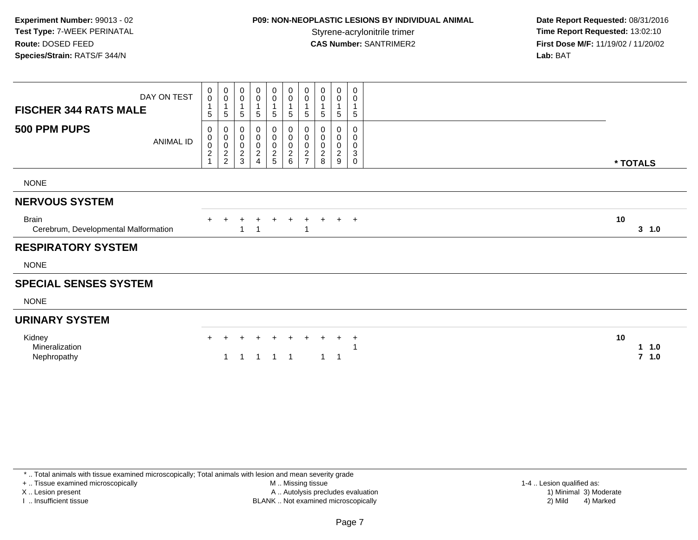## **P09: NON-NEOPLASTIC LESIONS BY INDIVIDUAL ANIMAL**

 **Date Report Requested:** 08/31/2016 **Time Report Requested: 13:02:10 CAS Number:** SANTRIMER2 **First Dose M/F:** 11/19/02 / 11/20/02 **Lab:** BAT

| <b>FISCHER 344 RATS MALE</b>                         | DAY ON TEST      | $\begin{smallmatrix} 0\\0 \end{smallmatrix}$<br>1<br>5 | $\pmb{0}$<br>$\mathbf 0$<br>$\mathbf{1}$<br>$\overline{5}$ | 0<br>0<br>5                                                        | 0<br>$\pmb{0}$<br>$\mathbf{1}$<br>5          | $\mathbf 0$<br>$\mathsf{O}\xspace$<br>$\mathbf{1}$<br>5 | $\boldsymbol{0}$<br>$\mathbf 0$<br>$\mathbf 1$<br>$5\phantom{.0}$ | 0<br>$\pmb{0}$<br>$\mathbf 1$<br>$\sqrt{5}$  | 0<br>$\boldsymbol{0}$<br>$\sqrt{5}$                 | 0<br>$\pmb{0}$<br>$\mathbf{1}$<br>$\sqrt{5}$       | 0<br>0<br>$\mathbf{1}$<br>5 |                                     |
|------------------------------------------------------|------------------|--------------------------------------------------------|------------------------------------------------------------|--------------------------------------------------------------------|----------------------------------------------|---------------------------------------------------------|-------------------------------------------------------------------|----------------------------------------------|-----------------------------------------------------|----------------------------------------------------|-----------------------------|-------------------------------------|
| 500 PPM PUPS                                         | <b>ANIMAL ID</b> | 0<br>$\mathbf 0$<br>$\pmb{0}$<br>$\frac{2}{1}$         | $\pmb{0}$<br>0002                                          | 0<br>$\boldsymbol{0}$<br>$\pmb{0}$<br>$\overline{\mathbf{c}}$<br>3 | 0<br>$\pmb{0}$<br>$\pmb{0}$<br>$\frac{2}{4}$ | 0<br>$\mathsf{O}\xspace$<br>$\frac{0}{2}$               | 0<br>0<br>$\frac{0}{2}$                                           | 0<br>$\pmb{0}$<br>$\pmb{0}$<br>$\frac{2}{7}$ | 0<br>$\boldsymbol{0}$<br>$\pmb{0}$<br>$\frac{2}{8}$ | 0<br>$\pmb{0}$<br>$\pmb{0}$<br>$\overline{2}$<br>9 | 0<br>0<br>0<br>3<br>0       | * TOTALS                            |
| <b>NONE</b>                                          |                  |                                                        |                                                            |                                                                    |                                              |                                                         |                                                                   |                                              |                                                     |                                                    |                             |                                     |
| <b>NERVOUS SYSTEM</b>                                |                  |                                                        |                                                            |                                                                    |                                              |                                                         |                                                                   |                                              |                                                     |                                                    |                             |                                     |
| <b>Brain</b><br>Cerebrum, Developmental Malformation |                  |                                                        |                                                            |                                                                    |                                              |                                                         | $\ddot{}$                                                         |                                              | $+$                                                 |                                                    | $+$ $+$                     | 10<br>$3 \t1.0$                     |
| <b>RESPIRATORY SYSTEM</b>                            |                  |                                                        |                                                            |                                                                    |                                              |                                                         |                                                                   |                                              |                                                     |                                                    |                             |                                     |
| <b>NONE</b>                                          |                  |                                                        |                                                            |                                                                    |                                              |                                                         |                                                                   |                                              |                                                     |                                                    |                             |                                     |
| <b>SPECIAL SENSES SYSTEM</b>                         |                  |                                                        |                                                            |                                                                    |                                              |                                                         |                                                                   |                                              |                                                     |                                                    |                             |                                     |
| <b>NONE</b>                                          |                  |                                                        |                                                            |                                                                    |                                              |                                                         |                                                                   |                                              |                                                     |                                                    |                             |                                     |
| <b>URINARY SYSTEM</b>                                |                  |                                                        |                                                            |                                                                    |                                              |                                                         |                                                                   |                                              |                                                     |                                                    |                             |                                     |
| Kidney<br>Mineralization<br>Nephropathy              |                  | $+$                                                    |                                                            |                                                                    |                                              | $\div$                                                  | $+$                                                               | $+$                                          | $\ddot{}$                                           | $\ddot{}$<br>1                                     | $+$                         | 10<br>11.0<br>$\overline{7}$<br>1.0 |

\* .. Total animals with tissue examined microscopically; Total animals with lesion and mean severity grade

+ .. Tissue examined microscopically

X .. Lesion present

I .. Insufficient tissue

 M .. Missing tissueA .. Autolysis precludes evaluation

BLANK .. Not examined microscopically 2) Mild 4) Marked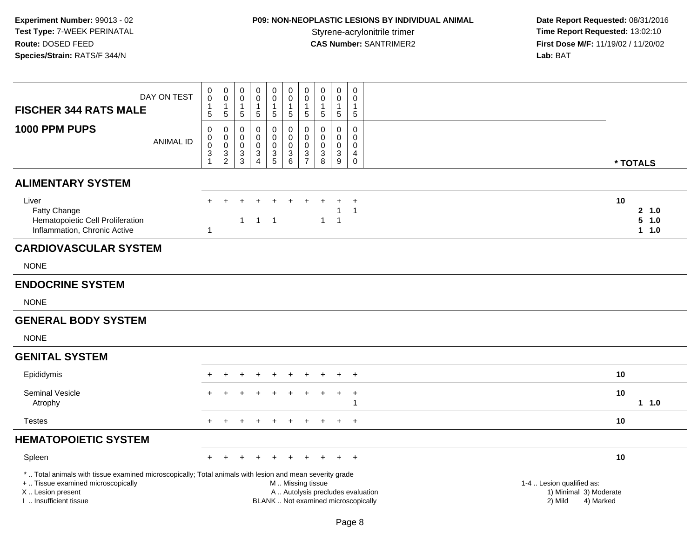# **P09: NON-NEOPLASTIC LESIONS BY INDIVIDUAL ANIMAL**

 **Date Report Requested:** 08/31/2016 Styrene-acrylonitrile trimer<br> **CAS Number:** SANTRIMER2 **Time Report Requested:** 13:02:10<br> **First Dose M/F:** 11/19/02 / 11/20/02 **First Dose M/F:** 11/19/02 / 11/20/02<br>Lab: BAT **Lab:** BAT

| <b>FISCHER 344 RATS MALE</b>                                                                                                                                                                  | DAY ON TEST      | 0<br>$\mathbf 0$<br>$\mathbf{1}$<br>5                     | $\pmb{0}$<br>$\mathbf 0$<br>$\mathbf{1}$<br>$\sqrt{5}$    | $\pmb{0}$<br>$\mathbf 0$<br>1<br>$\sqrt{5}$                   | $\mathbf 0$<br>$\mathbf 0$<br>$\overline{1}$<br>$\overline{5}$               | $\mathbf 0$<br>$\mathbf 0$<br>$\mathbf{1}$<br>$\sqrt{5}$                   | $\pmb{0}$<br>$\mathbf 0$<br>$\mathbf{1}$<br>5                                 | $\pmb{0}$<br>$\mathbf 0$<br>1<br>$\overline{5}$               | 0<br>0<br>1<br>5                          | $\pmb{0}$<br>0<br>$\mathbf{1}$<br>$\overline{5}$ | $\pmb{0}$<br>$\mathbf 0$<br>-1<br>$\sqrt{5}$                          |                                                                          |                                                                             |                               |
|-----------------------------------------------------------------------------------------------------------------------------------------------------------------------------------------------|------------------|-----------------------------------------------------------|-----------------------------------------------------------|---------------------------------------------------------------|------------------------------------------------------------------------------|----------------------------------------------------------------------------|-------------------------------------------------------------------------------|---------------------------------------------------------------|-------------------------------------------|--------------------------------------------------|-----------------------------------------------------------------------|--------------------------------------------------------------------------|-----------------------------------------------------------------------------|-------------------------------|
| 1000 PPM PUPS                                                                                                                                                                                 | <b>ANIMAL ID</b> | 0<br>$\mathbf 0$<br>$\boldsymbol{0}$<br>3<br>$\mathbf{1}$ | $\pmb{0}$<br>$\overline{0}$ <sub>0</sub><br>$\frac{3}{2}$ | 0<br>$\mathsf 0$<br>$\mathbf 0$<br>$\sqrt{3}$<br>$\mathbf{3}$ | 0<br>$\mathbf 0$<br>$\pmb{0}$<br>$\ensuremath{\mathsf{3}}$<br>$\overline{4}$ | $\mathbf 0$<br>$\mathbf 0$<br>$\mathbf 0$<br>$\mathsf 3$<br>$\overline{5}$ | $\mathbf 0$<br>$\pmb{0}$<br>$\pmb{0}$<br>$\ensuremath{\mathsf{3}}$<br>$\,6\,$ | 0<br>$\pmb{0}$<br>$\mathbf 0$<br>$\sqrt{3}$<br>$\overline{7}$ | $\mathbf 0$<br>0<br>$\mathbf 0$<br>3<br>8 | 0<br>0<br>$\mathbf 0$<br>3<br>9                  | $\mathbf 0$<br>$\mathbf 0$<br>$\mathbf 0$<br>4<br>$\mathsf{O}\xspace$ |                                                                          |                                                                             | * TOTALS                      |
| <b>ALIMENTARY SYSTEM</b>                                                                                                                                                                      |                  |                                                           |                                                           |                                                               |                                                                              |                                                                            |                                                                               |                                                               |                                           |                                                  |                                                                       |                                                                          |                                                                             |                               |
| Liver<br>Fatty Change<br>Hematopoietic Cell Proliferation<br>Inflammation, Chronic Active                                                                                                     |                  | ÷<br>$\mathbf{1}$                                         |                                                           | $\mathbf{1}$                                                  | $\overline{1}$                                                               | $\overline{1}$                                                             |                                                                               |                                                               | $\mathbf{1}$                              | 1                                                | $\div$<br>$\overline{1}$                                              |                                                                          | 10                                                                          | 2, 1.0<br>5<br>1.0<br>$1 1.0$ |
| <b>CARDIOVASCULAR SYSTEM</b>                                                                                                                                                                  |                  |                                                           |                                                           |                                                               |                                                                              |                                                                            |                                                                               |                                                               |                                           |                                                  |                                                                       |                                                                          |                                                                             |                               |
| <b>NONE</b>                                                                                                                                                                                   |                  |                                                           |                                                           |                                                               |                                                                              |                                                                            |                                                                               |                                                               |                                           |                                                  |                                                                       |                                                                          |                                                                             |                               |
| <b>ENDOCRINE SYSTEM</b>                                                                                                                                                                       |                  |                                                           |                                                           |                                                               |                                                                              |                                                                            |                                                                               |                                                               |                                           |                                                  |                                                                       |                                                                          |                                                                             |                               |
| <b>NONE</b>                                                                                                                                                                                   |                  |                                                           |                                                           |                                                               |                                                                              |                                                                            |                                                                               |                                                               |                                           |                                                  |                                                                       |                                                                          |                                                                             |                               |
| <b>GENERAL BODY SYSTEM</b>                                                                                                                                                                    |                  |                                                           |                                                           |                                                               |                                                                              |                                                                            |                                                                               |                                                               |                                           |                                                  |                                                                       |                                                                          |                                                                             |                               |
| <b>NONE</b>                                                                                                                                                                                   |                  |                                                           |                                                           |                                                               |                                                                              |                                                                            |                                                                               |                                                               |                                           |                                                  |                                                                       |                                                                          |                                                                             |                               |
| <b>GENITAL SYSTEM</b>                                                                                                                                                                         |                  |                                                           |                                                           |                                                               |                                                                              |                                                                            |                                                                               |                                                               |                                           |                                                  |                                                                       |                                                                          |                                                                             |                               |
| Epididymis                                                                                                                                                                                    |                  |                                                           |                                                           |                                                               |                                                                              |                                                                            |                                                                               |                                                               |                                           |                                                  | $\overline{1}$                                                        |                                                                          | 10                                                                          |                               |
| Seminal Vesicle<br>Atrophy                                                                                                                                                                    |                  |                                                           |                                                           |                                                               |                                                                              |                                                                            |                                                                               |                                                               |                                           | $+$                                              | $\overline{+}$                                                        |                                                                          | 10                                                                          | 11.0                          |
| <b>Testes</b>                                                                                                                                                                                 |                  | $+$                                                       | $\ddot{}$                                                 |                                                               |                                                                              |                                                                            | $\ddot{}$                                                                     |                                                               | $\ddot{}$                                 | $+$                                              | $\overline{+}$                                                        |                                                                          | 10                                                                          |                               |
| <b>HEMATOPOIETIC SYSTEM</b>                                                                                                                                                                   |                  |                                                           |                                                           |                                                               |                                                                              |                                                                            |                                                                               |                                                               |                                           |                                                  |                                                                       |                                                                          |                                                                             |                               |
| Spleen                                                                                                                                                                                        |                  |                                                           |                                                           |                                                               |                                                                              |                                                                            |                                                                               |                                                               |                                           |                                                  | $\overline{+}$                                                        |                                                                          | 10                                                                          |                               |
| *  Total animals with tissue examined microscopically; Total animals with lesion and mean severity grade<br>+  Tissue examined microscopically<br>X  Lesion present<br>I  Insufficient tissue |                  |                                                           |                                                           |                                                               |                                                                              |                                                                            | M  Missing tissue                                                             |                                                               |                                           |                                                  |                                                                       | A  Autolysis precludes evaluation<br>BLANK  Not examined microscopically | 1-4  Lesion qualified as:<br>1) Minimal 3) Moderate<br>2) Mild<br>4) Marked |                               |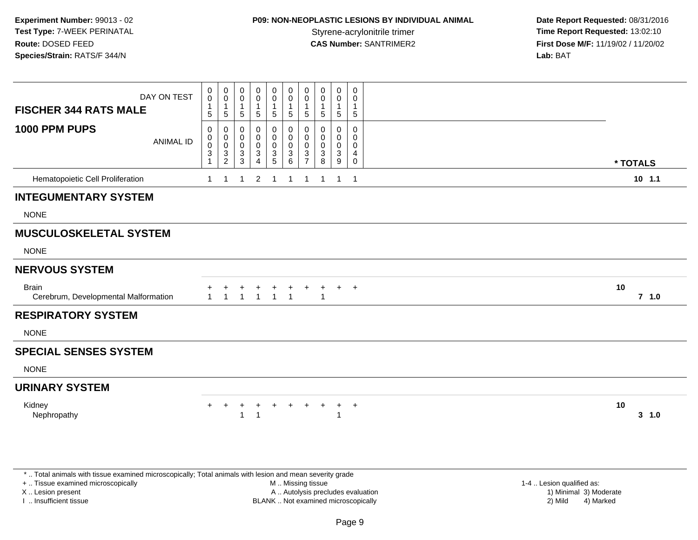## **P09: NON-NEOPLASTIC LESIONS BY INDIVIDUAL ANIMAL**

 **Date Report Requested:** 08/31/2016 **Time Report Requested: 13:02:10 CAS Number:** SANTRIMER2 **First Dose M/F:** 11/19/02 / 11/20/02 **Lab:** BAT

| DAY ON TEST<br><b>FISCHER 344 RATS MALE</b>          | $\begin{smallmatrix} 0\\0 \end{smallmatrix}$<br>$\mathbf{1}$<br>5        | 0<br>$\mathbf 0$<br>$\mathbf{1}$<br>5                                 | 0<br>0<br>1<br>5                                      | 0<br>0<br>-1<br>5                     | $\boldsymbol{0}$<br>$\pmb{0}$<br>5                            | 0<br>$\mathbf 0$<br>$\overline{1}$<br>$\sqrt{5}$                            | $\pmb{0}$<br>$\mathbf 0$<br>$\overline{1}$<br>5                                | 0<br>0<br>$\mathbf{1}$<br>5 | 0<br>$\mathbf 0$<br>$\mathbf{1}$<br>5 |             | 0<br>$\mathbf 0$<br>1<br>5                          |    |          |
|------------------------------------------------------|--------------------------------------------------------------------------|-----------------------------------------------------------------------|-------------------------------------------------------|---------------------------------------|---------------------------------------------------------------|-----------------------------------------------------------------------------|--------------------------------------------------------------------------------|-----------------------------|---------------------------------------|-------------|-----------------------------------------------------|----|----------|
| 1000 PPM PUPS<br><b>ANIMAL ID</b>                    | 0<br>$\pmb{0}$<br>$\pmb{0}$<br>$\ensuremath{\mathsf{3}}$<br>$\mathbf{1}$ | $\mathbf 0$<br>$\mathbf 0$<br>$\,0\,$<br>$\sqrt{3}$<br>$\overline{2}$ | 0<br>0<br>$\pmb{0}$<br>$\ensuremath{\mathsf{3}}$<br>3 | 0<br>0<br>0<br>$\sqrt{3}$<br>$\Delta$ | 0<br>$\pmb{0}$<br>$\pmb{0}$<br>$\ensuremath{\mathsf{3}}$<br>5 | $\mathbf 0$<br>$\mathbf 0$<br>$\mathbf 0$<br>$\ensuremath{\mathsf{3}}$<br>6 | $\pmb{0}$<br>$\boldsymbol{0}$<br>$\mathbf 0$<br>$\mathbf{3}$<br>$\overline{7}$ | 0<br>0<br>0<br>3<br>8       | 0<br>0<br>$\pmb{0}$<br>3<br>9         |             | $\mathbf 0$<br>0<br>$\mathbf 0$<br>4<br>$\mathbf 0$ |    | * TOTALS |
| Hematopoietic Cell Proliferation                     | $\mathbf{1}$                                                             | -1                                                                    | -1                                                    | $\overline{2}$                        | -1                                                            | -1                                                                          | -1                                                                             | 1                           | -1                                    | $\mathbf 1$ |                                                     |    | $10$ 1.1 |
| <b>INTEGUMENTARY SYSTEM</b>                          |                                                                          |                                                                       |                                                       |                                       |                                                               |                                                                             |                                                                                |                             |                                       |             |                                                     |    |          |
| <b>NONE</b>                                          |                                                                          |                                                                       |                                                       |                                       |                                                               |                                                                             |                                                                                |                             |                                       |             |                                                     |    |          |
| <b>MUSCULOSKELETAL SYSTEM</b>                        |                                                                          |                                                                       |                                                       |                                       |                                                               |                                                                             |                                                                                |                             |                                       |             |                                                     |    |          |
| <b>NONE</b>                                          |                                                                          |                                                                       |                                                       |                                       |                                                               |                                                                             |                                                                                |                             |                                       |             |                                                     |    |          |
| <b>NERVOUS SYSTEM</b>                                |                                                                          |                                                                       |                                                       |                                       |                                                               |                                                                             |                                                                                |                             |                                       |             |                                                     |    |          |
| <b>Brain</b><br>Cerebrum, Developmental Malformation | $\mathbf{1}$                                                             | -1                                                                    | $\blacktriangleleft$                                  | -1                                    | $\overline{1}$                                                | $\overline{1}$                                                              |                                                                                | $\mathbf{1}$                |                                       | $+$ $+$     |                                                     | 10 | $7$ 1.0  |
| <b>RESPIRATORY SYSTEM</b>                            |                                                                          |                                                                       |                                                       |                                       |                                                               |                                                                             |                                                                                |                             |                                       |             |                                                     |    |          |
| <b>NONE</b>                                          |                                                                          |                                                                       |                                                       |                                       |                                                               |                                                                             |                                                                                |                             |                                       |             |                                                     |    |          |
| <b>SPECIAL SENSES SYSTEM</b>                         |                                                                          |                                                                       |                                                       |                                       |                                                               |                                                                             |                                                                                |                             |                                       |             |                                                     |    |          |
| <b>NONE</b>                                          |                                                                          |                                                                       |                                                       |                                       |                                                               |                                                                             |                                                                                |                             |                                       |             |                                                     |    |          |
| <b>URINARY SYSTEM</b>                                |                                                                          |                                                                       |                                                       |                                       |                                                               |                                                                             |                                                                                |                             |                                       |             |                                                     |    |          |
| Kidney<br>Nephropathy                                | $+$                                                                      | $+$                                                                   | $\ddot{}$                                             | $\ddot{}$                             | $\ddot{}$                                                     | $+$                                                                         | $+$                                                                            | $+$                         |                                       | $+$<br>$+$  |                                                     | 10 | 3, 1.0   |

\* .. Total animals with tissue examined microscopically; Total animals with lesion and mean severity grade

+ .. Tissue examined microscopically

X .. Lesion present

I .. Insufficient tissue

M .. Missing tissue

A .. Autolysis precludes evaluation

BLANK .. Not examined microscopically 2) Mild 4) Marked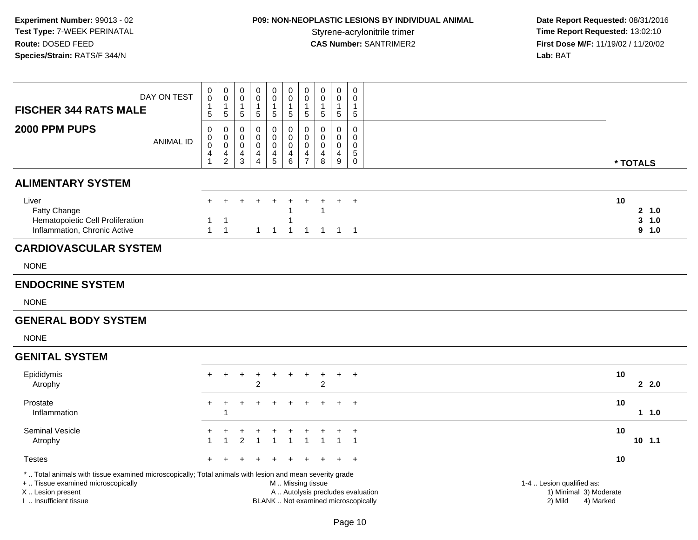# **P09: NON-NEOPLASTIC LESIONS BY INDIVIDUAL ANIMAL**

|                                                                                                                                                                                               | DAY ON TEST      | 0<br>$\pmb{0}$<br>$\mathbf{1}$                        | $\mathbf 0$<br>$\mathbf 0$<br>$\mathbf{1}$             | $\mathbf 0$<br>$\mathbf 0$<br>-1 | 0<br>$\mathbf 0$<br>-1                                                | $\pmb{0}$<br>$\mathbf 0$<br>1                                            | $\mathbf 0$<br>$\mathbf 0$<br>$\overline{1}$                 | $\mathbf 0$<br>$\boldsymbol{0}$<br>$\mathbf{1}$                       | $\mathbf 0$<br>$\mathbf 0$<br>$\mathbf{1}$ | $\mathbf 0$<br>$\mathbf 0$<br>1                                          | $\pmb{0}$<br>$\mathbf 0$<br>1             |                                                                             |
|-----------------------------------------------------------------------------------------------------------------------------------------------------------------------------------------------|------------------|-------------------------------------------------------|--------------------------------------------------------|----------------------------------|-----------------------------------------------------------------------|--------------------------------------------------------------------------|--------------------------------------------------------------|-----------------------------------------------------------------------|--------------------------------------------|--------------------------------------------------------------------------|-------------------------------------------|-----------------------------------------------------------------------------|
| <b>FISCHER 344 RATS MALE</b>                                                                                                                                                                  |                  | 5                                                     | 5                                                      | 5                                | 5                                                                     | 5                                                                        | $\sqrt{5}$                                                   | $5\phantom{.0}$                                                       | 5                                          | 5                                                                        | 5                                         |                                                                             |
| 2000 PPM PUPS                                                                                                                                                                                 | <b>ANIMAL ID</b> | 0<br>$\pmb{0}$<br>$\overline{0}$<br>4<br>$\mathbf{1}$ | 0<br>$\mathbf 0$<br>$\mathbf 0$<br>4<br>$\overline{2}$ | 0<br>$\mathbf 0$<br>0<br>4<br>3  | $\mathbf 0$<br>$\mathbf 0$<br>$\pmb{0}$<br>$\overline{4}$<br>$\Delta$ | $\mathbf 0$<br>$\mathbf 0$<br>$\ddot{\mathbf{0}}$<br>4<br>$\overline{5}$ | 0<br>$\mathbf 0$<br>$\mathbf 0$<br>$\overline{a}$<br>$\,6\,$ | $\mathbf 0$<br>$\mathbf 0$<br>$\boldsymbol{0}$<br>4<br>$\overline{7}$ | 0<br>$\mathbf 0$<br>$\mathbf 0$<br>4<br>8  | $\mathbf 0$<br>$\Omega$<br>$\mathbf 0$<br>$\overline{4}$<br>9            | 0<br>$\mathbf 0$<br>$\mathbf 0$<br>5<br>0 | * TOTALS                                                                    |
| <b>ALIMENTARY SYSTEM</b>                                                                                                                                                                      |                  |                                                       |                                                        |                                  |                                                                       |                                                                          |                                                              |                                                                       |                                            |                                                                          |                                           |                                                                             |
| Liver<br>Fatty Change<br>Hematopoietic Cell Proliferation<br>Inflammation, Chronic Active                                                                                                     |                  | $\pm$<br>1<br>$\mathbf{1}$                            | $\div$<br>-1<br>$\overline{1}$                         | $\ddot{}$                        | $\ddot{}$<br>$\mathbf{1}$                                             | $\ddot{}$<br>$\overline{1}$                                              | ÷<br>$\overline{1}$                                          | $\overline{1}$                                                        | $\mathbf{1}$<br>$\mathbf{1}$               |                                                                          | $+$<br>$1 \quad 1$                        | 10<br>2, 1.0<br>$3 - 1.0$<br>9 1.0                                          |
| <b>CARDIOVASCULAR SYSTEM</b>                                                                                                                                                                  |                  |                                                       |                                                        |                                  |                                                                       |                                                                          |                                                              |                                                                       |                                            |                                                                          |                                           |                                                                             |
| <b>NONE</b>                                                                                                                                                                                   |                  |                                                       |                                                        |                                  |                                                                       |                                                                          |                                                              |                                                                       |                                            |                                                                          |                                           |                                                                             |
| <b>ENDOCRINE SYSTEM</b>                                                                                                                                                                       |                  |                                                       |                                                        |                                  |                                                                       |                                                                          |                                                              |                                                                       |                                            |                                                                          |                                           |                                                                             |
| <b>NONE</b>                                                                                                                                                                                   |                  |                                                       |                                                        |                                  |                                                                       |                                                                          |                                                              |                                                                       |                                            |                                                                          |                                           |                                                                             |
| <b>GENERAL BODY SYSTEM</b>                                                                                                                                                                    |                  |                                                       |                                                        |                                  |                                                                       |                                                                          |                                                              |                                                                       |                                            |                                                                          |                                           |                                                                             |
| <b>NONE</b>                                                                                                                                                                                   |                  |                                                       |                                                        |                                  |                                                                       |                                                                          |                                                              |                                                                       |                                            |                                                                          |                                           |                                                                             |
| <b>GENITAL SYSTEM</b>                                                                                                                                                                         |                  |                                                       |                                                        |                                  |                                                                       |                                                                          |                                                              |                                                                       |                                            |                                                                          |                                           |                                                                             |
| Epididymis<br>Atrophy                                                                                                                                                                         |                  | $+$                                                   | $\ddot{}$                                              | $\ddot{}$                        | $\ddot{}$<br>2                                                        | $\div$                                                                   | $\overline{+}$                                               | $\ddot{}$                                                             | $\ddot{}$<br>$\overline{c}$                | $+$                                                                      | $+$                                       | 10<br>2.0                                                                   |
| Prostate<br>Inflammation                                                                                                                                                                      |                  | $+$                                                   | 1                                                      |                                  |                                                                       |                                                                          |                                                              |                                                                       |                                            |                                                                          | $+$                                       | 10<br>11.0                                                                  |
| <b>Seminal Vesicle</b><br>Atrophy                                                                                                                                                             |                  | +                                                     | ٠                                                      | +<br>$\overline{2}$              | ÷                                                                     | ÷                                                                        | $\ddot{}$                                                    |                                                                       |                                            | ÷                                                                        | $^{+}$<br>$\mathbf{1}$                    | 10<br>$10 \t1.1$                                                            |
| <b>Testes</b>                                                                                                                                                                                 |                  | +                                                     |                                                        |                                  |                                                                       |                                                                          |                                                              |                                                                       |                                            |                                                                          | $+$                                       | 10                                                                          |
| *  Total animals with tissue examined microscopically; Total animals with lesion and mean severity grade<br>+  Tissue examined microscopically<br>X  Lesion present<br>I. Insufficient tissue |                  |                                                       |                                                        |                                  |                                                                       |                                                                          | M  Missing tissue                                            |                                                                       |                                            | A  Autolysis precludes evaluation<br>BLANK  Not examined microscopically |                                           | 1-4  Lesion qualified as:<br>1) Minimal 3) Moderate<br>2) Mild<br>4) Marked |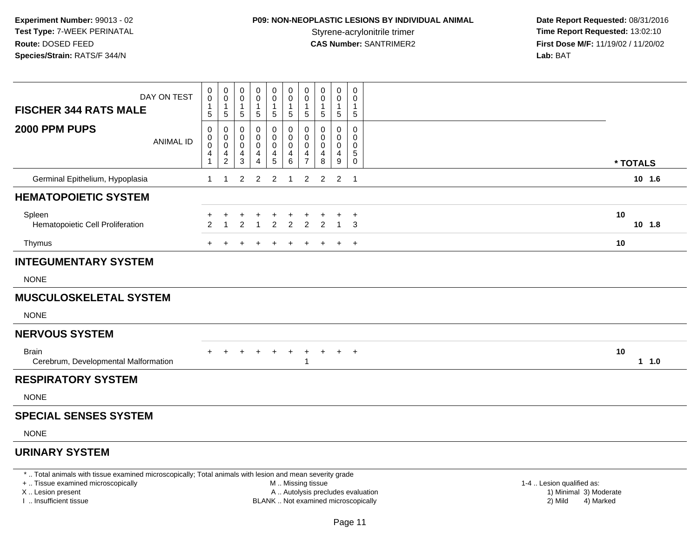# **P09: NON-NEOPLASTIC LESIONS BY INDIVIDUAL ANIMAL**

 **Date Report Requested:** 08/31/2016 **Time Report Requested: 13:02:10 CAS Number:** SANTRIMER2 **First Dose M/F:** 11/19/02 / 11/20/02 **Lab:** BAT

| DAY ON TEST<br><b>FISCHER 344 RATS MALE</b>                                                              | 0<br>0<br>1<br>5                 | 0<br>0<br>1<br>5                   | 0<br>0<br>1<br>5           | 0<br>0<br>1<br>5                   | $\mathbf 0$<br>0<br>$\overline{1}$<br>5 | 0<br>0<br>$\mathbf{1}$<br>5     | 0<br>0<br>1<br>5                   | 0<br>0<br>$\mathbf{1}$<br>5 | 0<br>0<br>1<br>5            | 0<br>0<br>-1<br>5     |          |          |
|----------------------------------------------------------------------------------------------------------|----------------------------------|------------------------------------|----------------------------|------------------------------------|-----------------------------------------|---------------------------------|------------------------------------|-----------------------------|-----------------------------|-----------------------|----------|----------|
| 2000 PPM PUPS<br><b>ANIMAL ID</b>                                                                        | 0<br>0<br>0<br>4<br>$\mathbf{1}$ | 0<br>0<br>0<br>4<br>$\overline{2}$ | 0<br>0<br>0<br>4<br>3      | 0<br>0<br>0<br>4<br>$\overline{4}$ | 0<br>$\mathbf 0$<br>0<br>$\frac{4}{5}$  | 0<br>0<br>$\mathbf 0$<br>4<br>6 | 0<br>0<br>0<br>4<br>$\overline{7}$ | 0<br>0<br>0<br>4<br>8       | 0<br>0<br>0<br>4<br>9       | 0<br>0<br>0<br>5<br>0 | * TOTALS |          |
| Germinal Epithelium, Hypoplasia                                                                          | $\mathbf{1}$                     | $\mathbf{1}$                       | $\overline{2}$             | $\sqrt{2}$                         | $\overline{2}$                          | $\overline{1}$                  | $\overline{c}$                     | $\overline{2}$              | $\overline{2}$              | $\overline{1}$        |          | $10$ 1.6 |
| <b>HEMATOPOIETIC SYSTEM</b>                                                                              |                                  |                                    |                            |                                    |                                         |                                 |                                    |                             |                             |                       |          |          |
| Spleen<br>Hematopoietic Cell Proliferation                                                               | $\mathfrak{p}$                   |                                    | $\ddot{}$<br>$\mathcal{P}$ | $\ddot{}$<br>$\overline{1}$        | $\ddot{}$<br>$\overline{2}$             | $\ddot{}$<br>$\overline{2}$     | +<br>$\overline{2}$                | $\mathfrak{p}$              | $\ddot{}$<br>$\overline{1}$ | $+$<br>3              | 10       | $10$ 1.8 |
| Thymus                                                                                                   | $+$                              | $\ddot{}$                          | $\ddot{}$                  | $\ddot{}$                          | $+$                                     | $\ddot{}$                       | $\ddot{}$                          |                             | $\ddot{}$                   | $+$                   | 10       |          |
| <b>INTEGUMENTARY SYSTEM</b>                                                                              |                                  |                                    |                            |                                    |                                         |                                 |                                    |                             |                             |                       |          |          |
| <b>NONE</b>                                                                                              |                                  |                                    |                            |                                    |                                         |                                 |                                    |                             |                             |                       |          |          |
| <b>MUSCULOSKELETAL SYSTEM</b>                                                                            |                                  |                                    |                            |                                    |                                         |                                 |                                    |                             |                             |                       |          |          |
| <b>NONE</b>                                                                                              |                                  |                                    |                            |                                    |                                         |                                 |                                    |                             |                             |                       |          |          |
| <b>NERVOUS SYSTEM</b>                                                                                    |                                  |                                    |                            |                                    |                                         |                                 |                                    |                             |                             |                       |          |          |
| <b>Brain</b><br>Cerebrum, Developmental Malformation                                                     |                                  |                                    |                            | $\ddot{}$                          |                                         |                                 | 1                                  |                             | $+$                         | $+$                   | 10       | 1 1.0    |
| <b>RESPIRATORY SYSTEM</b>                                                                                |                                  |                                    |                            |                                    |                                         |                                 |                                    |                             |                             |                       |          |          |
| <b>NONE</b>                                                                                              |                                  |                                    |                            |                                    |                                         |                                 |                                    |                             |                             |                       |          |          |
| <b>SPECIAL SENSES SYSTEM</b>                                                                             |                                  |                                    |                            |                                    |                                         |                                 |                                    |                             |                             |                       |          |          |
| <b>NONE</b>                                                                                              |                                  |                                    |                            |                                    |                                         |                                 |                                    |                             |                             |                       |          |          |
| <b>URINARY SYSTEM</b>                                                                                    |                                  |                                    |                            |                                    |                                         |                                 |                                    |                             |                             |                       |          |          |
| *  Total animals with tissue examined microscopically; Total animals with lesion and mean severity grade |                                  |                                    |                            |                                    |                                         |                                 |                                    |                             |                             |                       |          |          |

+ .. Tissue examined microscopically

X .. Lesion present

I .. Insufficient tissue

M .. Missing tissue

A .. Autolysis precludes evaluation 1999 (1999) 1999 (1999) 1999 (1999) 1999 (1999) Minimal 3) Minimal 3) Minimal 3) Minimal 3) Mild

1-4 .. Lesion qualified as:<br>1) Minimal 3) Moderate BLANK .. Not examined microscopically 2) Mild 4) Marked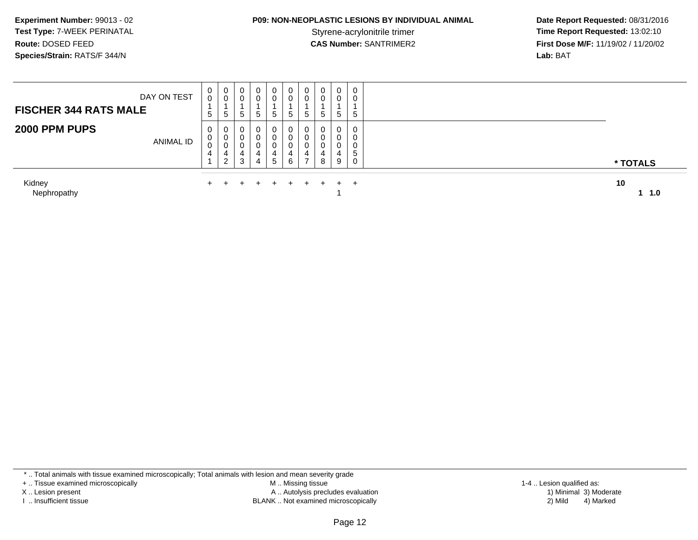## **P09: NON-NEOPLASTIC LESIONS BY INDIVIDUAL ANIMAL**

 **Date Report Requested:** 08/31/2016 **Time Report Requested: 13:02:10 CAS Number:** SANTRIMER2 **First Dose M/F:** 11/19/02 / 11/20/02 **Lab:** BAT

| <b>ANIMAL ID</b>      | U<br>U<br>4 | 0<br>υ<br>4<br>ົ<br>∠ | 0<br>0<br>4<br>3 | 0<br>4<br>4 | 0<br>0<br>4<br>5 | 4<br>6 | v<br>v<br>4 | U<br>0<br>$^{4}$<br>8 | 0<br>0<br>4<br>9 | 0<br>0<br><sub>5</sub><br>0 | * TOTALS  |
|-----------------------|-------------|-----------------------|------------------|-------------|------------------|--------|-------------|-----------------------|------------------|-----------------------------|-----------|
| Kidney<br>Nephropathy |             |                       |                  |             | $\div$           | $+$    | $+$         | $+$ $-$               | $+$ $+$          |                             | 10<br>1.0 |

\* .. Total animals with tissue examined microscopically; Total animals with lesion and mean severity grade

+ .. Tissue examined microscopically

X .. Lesion present

I .. Insufficient tissue

 M .. Missing tissueA .. Autolysis precludes evaluation

BLANK .. Not examined microscopically 2) Mild 4) Marked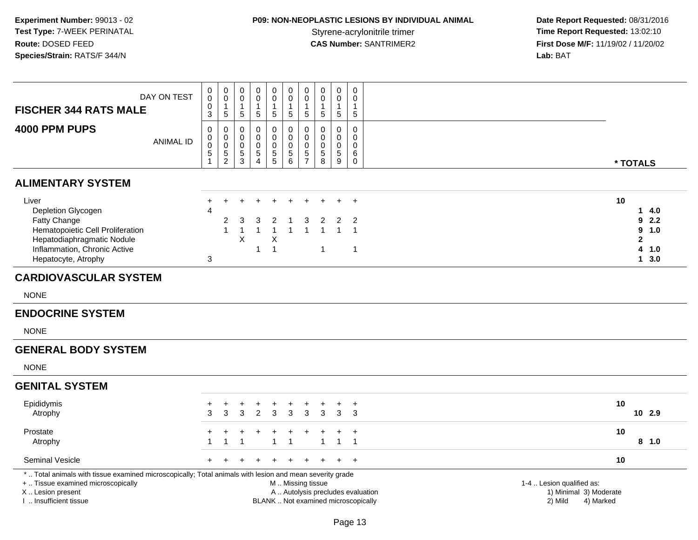# **P09: NON-NEOPLASTIC LESIONS BY INDIVIDUAL ANIMAL**

| <b>FISCHER 344 RATS MALE</b>                                                                                                                                                                  | DAY ON TEST      | 0<br>$\bar{0}$<br>0<br>$\overline{3}$ | $\begin{smallmatrix}0\0\0\end{smallmatrix}$<br>$\mathbf{1}$<br>$\sqrt{5}$ | $\mathbf 0$<br>$\mathbf 0$<br>$\mathbf{1}$<br>$\sqrt{5}$ | $\mathbf 0$<br>$\mathbf 0$<br>$\mathbf{1}$<br>$\sqrt{5}$        | $\pmb{0}$<br>$\overline{0}$<br>$\mathbf{1}$<br>$\sqrt{5}$  | $\boldsymbol{0}$<br>$\overline{0}$<br>$\mathbf{1}$<br>$\sqrt{5}$                 | 0<br>$\pmb{0}$<br>$\mathbf{1}$<br>5                      | $\pmb{0}$<br>$\pmb{0}$<br>1<br>$\sqrt{5}$ | $\mathbf 0$<br>0<br>$\mathbf{1}$<br>$\overline{5}$  | $\pmb{0}$<br>$\mathbf 0$<br>$\mathbf 1$<br>$\sqrt{5}$                      |                                                                             |                                                                                 |
|-----------------------------------------------------------------------------------------------------------------------------------------------------------------------------------------------|------------------|---------------------------------------|---------------------------------------------------------------------------|----------------------------------------------------------|-----------------------------------------------------------------|------------------------------------------------------------|----------------------------------------------------------------------------------|----------------------------------------------------------|-------------------------------------------|-----------------------------------------------------|----------------------------------------------------------------------------|-----------------------------------------------------------------------------|---------------------------------------------------------------------------------|
| 4000 PPM PUPS                                                                                                                                                                                 | <b>ANIMAL ID</b> | $\Omega$<br>0<br>$\pmb{0}$<br>5<br>1  | $\mathbf 0$<br>$\mathbf 0$<br>$\mathbf 0$<br>$\frac{5}{2}$                | $\mathbf 0$<br>0<br>$\mathbf 0$<br>$\frac{5}{3}$         | $\mathbf 0$<br>0<br>$\mathbf 0$<br>$\sqrt{5}$<br>$\overline{4}$ | $\mathbf 0$<br>$\mathbf 0$<br>$\pmb{0}$<br>$\frac{5}{5}$   | $\mathbf 0$<br>$\mathbf 0$<br>$\pmb{0}$<br>$\begin{array}{c} 5 \\ 6 \end{array}$ | $\mathbf 0$<br>$\mathbf 0$<br>$\pmb{0}$<br>$\frac{5}{7}$ | $\mathbf 0$<br>0<br>$\pmb{0}$<br>5<br>8   | $\mathbf 0$<br>0<br>$\mathbf 0$<br>$\,$ 5 $\,$<br>9 | $\mathbf 0$<br>$\mathbf 0$<br>$\mathsf{O}\xspace$<br>6<br>$\boldsymbol{0}$ |                                                                             | * TOTALS                                                                        |
| <b>ALIMENTARY SYSTEM</b>                                                                                                                                                                      |                  |                                       |                                                                           |                                                          |                                                                 |                                                            |                                                                                  |                                                          |                                           |                                                     |                                                                            |                                                                             |                                                                                 |
| Liver<br>Depletion Glycogen<br>Fatty Change<br>Hematopoietic Cell Proliferation<br>Hepatodiaphragmatic Nodule<br>Inflammation, Chronic Active<br>Hepatocyte, Atrophy                          |                  | $\ddot{}$<br>$\overline{4}$<br>3      | $+$<br>2<br>$\overline{1}$                                                | $\ddot{}$<br>3<br>$\overline{1}$<br>$\times$             | 3<br>$\mathbf{1}$                                               | 2<br>$\overline{\mathbf{1}}$<br>$\times$<br>$\overline{1}$ | -1<br>$\mathbf{1}$                                                               | 3<br>-1                                                  | 2<br>$\mathbf{1}$<br>$\mathbf{1}$         | $+$<br>$\overline{2}$                               | $\overline{+}$<br>$\overline{2}$<br>$\mathbf{1}$<br>$\overline{1}$         | 10                                                                          | 4.0<br>$\mathbf{1}$<br>2.2<br>9<br>9<br>1.0<br>$\mathbf{2}$<br>4<br>1.0<br>13.0 |
| <b>CARDIOVASCULAR SYSTEM</b>                                                                                                                                                                  |                  |                                       |                                                                           |                                                          |                                                                 |                                                            |                                                                                  |                                                          |                                           |                                                     |                                                                            |                                                                             |                                                                                 |
| <b>NONE</b>                                                                                                                                                                                   |                  |                                       |                                                                           |                                                          |                                                                 |                                                            |                                                                                  |                                                          |                                           |                                                     |                                                                            |                                                                             |                                                                                 |
| <b>ENDOCRINE SYSTEM</b>                                                                                                                                                                       |                  |                                       |                                                                           |                                                          |                                                                 |                                                            |                                                                                  |                                                          |                                           |                                                     |                                                                            |                                                                             |                                                                                 |
| <b>NONE</b>                                                                                                                                                                                   |                  |                                       |                                                                           |                                                          |                                                                 |                                                            |                                                                                  |                                                          |                                           |                                                     |                                                                            |                                                                             |                                                                                 |
| <b>GENERAL BODY SYSTEM</b>                                                                                                                                                                    |                  |                                       |                                                                           |                                                          |                                                                 |                                                            |                                                                                  |                                                          |                                           |                                                     |                                                                            |                                                                             |                                                                                 |
| <b>NONE</b>                                                                                                                                                                                   |                  |                                       |                                                                           |                                                          |                                                                 |                                                            |                                                                                  |                                                          |                                           |                                                     |                                                                            |                                                                             |                                                                                 |
| <b>GENITAL SYSTEM</b>                                                                                                                                                                         |                  |                                       |                                                                           |                                                          |                                                                 |                                                            |                                                                                  |                                                          |                                           |                                                     |                                                                            |                                                                             |                                                                                 |
| Epididymis<br>Atrophy                                                                                                                                                                         |                  | +<br>3                                | $\ddot{}$<br>3                                                            | $\ddot{}$<br>3                                           | +<br>2                                                          | +<br>3                                                     | $\ddot{}$<br>3                                                                   | $\ddot{}$<br>3                                           | $\ddot{}$<br>3                            | $\ddot{}$<br>3                                      | $\ddot{}$<br>3                                                             | 10                                                                          | 10 2.9                                                                          |
| Prostate<br>Atrophy                                                                                                                                                                           |                  | 1                                     | +<br>$\mathbf 1$                                                          | +<br>$\overline{1}$                                      | +                                                               | -1                                                         | $\ddot{}$<br>$\mathbf{1}$                                                        |                                                          | $\ddot{}$<br>1                            | $\ddot{}$<br>1                                      | $\overline{1}$<br>$\overline{1}$                                           | 10                                                                          | 8, 1.0                                                                          |
| Seminal Vesicle                                                                                                                                                                               |                  | $+$                                   | $\ddot{}$                                                                 | $\pm$                                                    |                                                                 |                                                            | $\ddot{}$                                                                        | $\div$                                                   | $\pm$                                     | $+$                                                 | $+$                                                                        | 10                                                                          |                                                                                 |
| *  Total animals with tissue examined microscopically; Total animals with lesion and mean severity grade<br>+  Tissue examined microscopically<br>X  Lesion present<br>I  Insufficient tissue |                  |                                       |                                                                           |                                                          |                                                                 |                                                            | M  Missing tissue                                                                |                                                          |                                           |                                                     | A  Autolysis precludes evaluation<br>BLANK  Not examined microscopically   | 1-4  Lesion qualified as:<br>1) Minimal 3) Moderate<br>2) Mild<br>4) Marked |                                                                                 |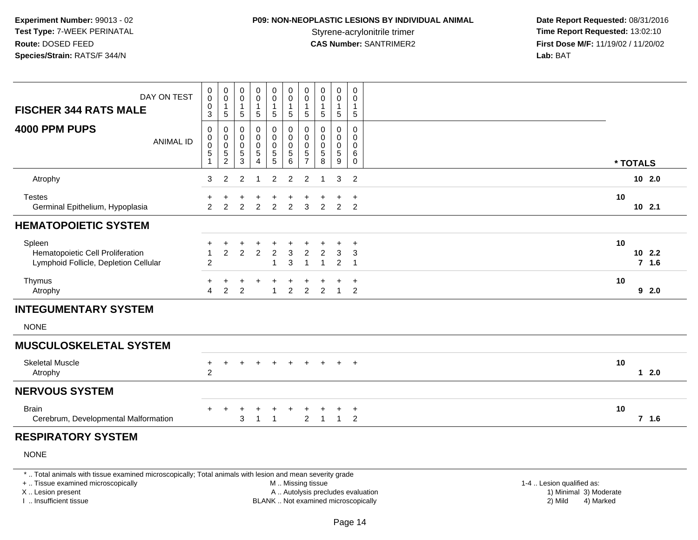## **P09: NON-NEOPLASTIC LESIONS BY INDIVIDUAL ANIMAL**

 **Date Report Requested:** 08/31/2016 **Time Report Requested: 13:02:10 CAS Number:** SANTRIMER2 **First Dose M/F:** 11/19/02 / 11/20/02 **Lab:** BAT

| DAY ON TEST                                                                         | 0<br>0                                    | 0<br>$\mathbf 0$                             | $\pmb{0}$<br>0                  | $\pmb{0}$<br>$\pmb{0}$                                             | 0<br>0                                                         | $\pmb{0}$<br>$\mathbf 0$                         | $\pmb{0}$<br>$\mathbf 0$                     | $\pmb{0}$<br>$\pmb{0}$        | $\pmb{0}$<br>$\pmb{0}$          | $\pmb{0}$<br>0                |                                 |
|-------------------------------------------------------------------------------------|-------------------------------------------|----------------------------------------------|---------------------------------|--------------------------------------------------------------------|----------------------------------------------------------------|--------------------------------------------------|----------------------------------------------|-------------------------------|---------------------------------|-------------------------------|---------------------------------|
| <b>FISCHER 344 RATS MALE</b>                                                        | $\pmb{0}$<br>3                            | $\mathbf{1}$<br>5                            | $\mathbf{1}$<br>5               | 1<br>5                                                             | $\mathbf{1}$<br>$\sqrt{5}$                                     | $\overline{1}$<br>$\sqrt{5}$                     | $\mathbf{1}$<br>5                            | $\mathbf{1}$<br>$\sqrt{5}$    | $\mathbf{1}$<br>5               | $\mathbf{1}$<br>5             |                                 |
| 4000 PPM PUPS<br><b>ANIMAL ID</b>                                                   | 0<br>0<br>0<br>$\sqrt{5}$<br>$\mathbf{1}$ | 0<br>0<br>$\mathbf 0$<br>5<br>$\overline{c}$ | 0<br>0<br>0<br>$\,$ 5 $\,$<br>3 | 0<br>$\boldsymbol{0}$<br>$\pmb{0}$<br>$\sqrt{5}$<br>$\overline{4}$ | 0<br>$\mathbf 0$<br>$\pmb{0}$<br>$\,$ 5 $\,$<br>$\overline{5}$ | 0<br>$\pmb{0}$<br>$\mathbf 0$<br>$\sqrt{5}$<br>6 | 0<br>0<br>$\mathbf 0$<br>5<br>$\overline{7}$ | 0<br>0<br>$\pmb{0}$<br>5<br>8 | 0<br>0<br>$\mathbf 0$<br>5<br>9 | 0<br>0<br>0<br>6<br>0         | * TOTALS                        |
| Atrophy                                                                             | 3                                         | $\overline{2}$                               | 2                               | $\mathbf 1$                                                        | $\overline{c}$                                                 | $\overline{2}$                                   | $\overline{c}$                               | 1                             | 3                               | 2                             | 102.0                           |
| <b>Testes</b><br>Germinal Epithelium, Hypoplasia                                    | 2                                         | 2                                            | 2                               | 2                                                                  | $\overline{2}$                                                 | $\overline{2}$                                   | 3                                            | 2                             | $\overline{2}$                  | $\ddot{}$<br>2                | 10<br>$10$ 2.1                  |
| <b>HEMATOPOIETIC SYSTEM</b>                                                         |                                           |                                              |                                 |                                                                    |                                                                |                                                  |                                              |                               |                                 |                               |                                 |
| Spleen<br>Hematopoietic Cell Proliferation<br>Lymphoid Follicle, Depletion Cellular | +<br>$\overline{1}$<br>$\overline{2}$     | ÷<br>$\overline{2}$                          | $\overline{2}$                  | $\ddot{}$<br>$\overline{2}$                                        | $\overline{2}$<br>$\overline{1}$                               | $\mathbf{3}$<br>3                                | $\overline{c}$<br>$\mathbf{1}$               | 2<br>$\mathbf 1$              | 3<br>$\overline{2}$             | $\ddot{}$<br>3<br>$\mathbf 1$ | 10<br>102.2<br>7 <sub>1.6</sub> |
| Thymus<br>Atrophy                                                                   | $\ddot{}$<br>$\overline{A}$               | $\overline{2}$                               | 2                               | $\ddot{}$                                                          | +<br>$\overline{1}$                                            | ÷<br>$\overline{2}$                              | $\overline{2}$                               | $\overline{2}$                | ÷<br>$\overline{1}$             | $\ddot{}$<br>$\overline{2}$   | 10<br>92.0                      |
| <b>INTEGUMENTARY SYSTEM</b>                                                         |                                           |                                              |                                 |                                                                    |                                                                |                                                  |                                              |                               |                                 |                               |                                 |
| <b>NONE</b>                                                                         |                                           |                                              |                                 |                                                                    |                                                                |                                                  |                                              |                               |                                 |                               |                                 |
| <b>MUSCULOSKELETAL SYSTEM</b>                                                       |                                           |                                              |                                 |                                                                    |                                                                |                                                  |                                              |                               |                                 |                               |                                 |
| <b>Skeletal Muscle</b><br>Atrophy                                                   | +<br>$\overline{2}$                       | ÷                                            |                                 | $\div$                                                             | $+$                                                            | $+$                                              | $+$                                          |                               | $+$                             | $+$                           | 10<br>12.0                      |
| <b>NERVOUS SYSTEM</b>                                                               |                                           |                                              |                                 |                                                                    |                                                                |                                                  |                                              |                               |                                 |                               |                                 |
| <b>Brain</b><br>Cerebrum, Developmental Malformation                                |                                           |                                              | 3                               | ٠<br>$\overline{1}$                                                |                                                                |                                                  | $\overline{2}$                               | 1                             | $\overline{1}$                  | $\ddot{}$<br>2                | 10<br>7, 1.6                    |

#### **RESPIRATORY SYSTEM**

NONE

\* .. Total animals with tissue examined microscopically; Total animals with lesion and mean severity grade

+ .. Tissue examined microscopically

X .. Lesion present

I .. Insufficient tissue

 M .. Missing tissueA .. Autolysis precludes evaluation

 1-4 .. Lesion qualified as: BLANK .. Not examined microscopically 2) Mild 4) Marked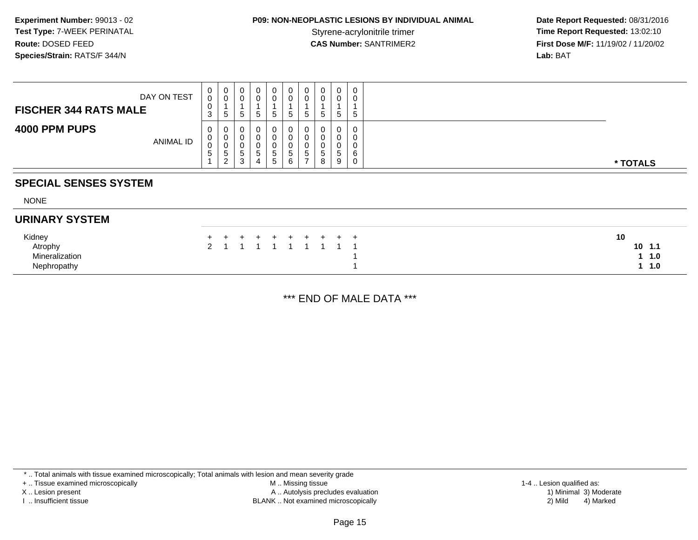## **P09: NON-NEOPLASTIC LESIONS BY INDIVIDUAL ANIMAL**

 **Date Report Requested:** 08/31/2016 **Time Report Requested: 13:02:10 CAS Number:** SANTRIMER2 **First Dose M/F:** 11/19/02 / 11/20/02 **Lab:** BAT

| DAY ON TEST<br><b>FISCHER 344 RATS MALE</b> | 0<br>0<br>U<br>3           | 0<br>U<br>৾৾          | 0<br>U<br>.5                | 0<br>G                               |        | υ<br>G | O<br>υ<br>.5                | 0<br>0<br>$\mathbf b$            | 0<br>0<br>$5^{\circ}$  | 0<br>0<br>b.          |          |
|---------------------------------------------|----------------------------|-----------------------|-----------------------------|--------------------------------------|--------|--------|-----------------------------|----------------------------------|------------------------|-----------------------|----------|
| 4000 PPM PUPS<br>ANIMAL ID                  | 0<br>U<br>U<br>$5^{\circ}$ | 0<br>0<br>U<br>ಾ<br>◠ | 0<br>U<br>U<br>°<br>ົ<br>J. | 0<br>$\ddot{\phantom{1}}$<br>نٽ<br>4 | G<br>G | đ<br>6 | υ<br>U<br>U<br><sub>5</sub> | 0<br>0<br>0<br><sub>5</sub><br>8 | 0<br>0<br>U<br>C.<br>9 | 0<br>0<br>0<br>6<br>0 | * TOTALS |

#### **SPECIAL SENSES SYSTEM**

NONE

#### **URINARY SYSTEM**

| Kidney         | + + + + + + + + + + | 10 |
|----------------|---------------------|----|
| Atrophy        | 2 1 1 1 1 1 1 1 1 1 |    |
| Mineralization |                     |    |
| Nephropathy    |                     |    |

\*\*\* END OF MALE DATA \*\*\*

\* .. Total animals with tissue examined microscopically; Total animals with lesion and mean severity grade

+ .. Tissue examined microscopically

X .. Lesion present

I .. Insufficient tissue

 M .. Missing tissueA .. Autolysis precludes evaluation

BLANK .. Not examined microscopically 2) Mild 4) Marked

1-4 .. Lesion qualified as: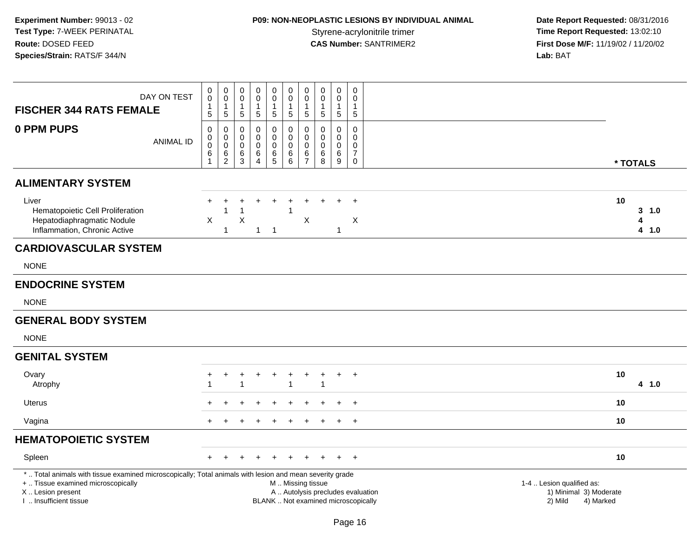# **P09: NON-NEOPLASTIC LESIONS BY INDIVIDUAL ANIMAL**

| <b>FISCHER 344 RATS FEMALE</b>                                                                                                                                                                | DAY ON TEST      | 0<br>$\mathsf 0$<br>1<br>5             | $_{\rm 0}^{\rm 0}$<br>$\mathbf{1}$<br>5            | $\mathbf 0$<br>$\mathbf 0$<br>$\mathbf{1}$<br>5  | 0<br>$\mathbf 0$<br>$\mathbf{1}$<br>5 | $_{\rm 0}^{\rm 0}$<br>$\mathbf{1}$<br>$\sqrt{5}$ | $_{\rm 0}^{\rm 0}$<br>$\mathbf{1}$<br>$\,$ 5 $\,$                                | $\pmb{0}$<br>$\mathbf 0$<br>$\mathbf{1}$<br>$\sqrt{5}$  | $\pmb{0}$<br>$\mathbf 0$<br>$\mathbf{1}$<br>$\sqrt{5}$ | $\mathbf 0$<br>$\pmb{0}$<br>$\mathbf{1}$<br>5       | $\mathsf{O}\xspace$<br>$\mathbf 0$<br>$\mathbf 1$<br>$5\phantom{.0}$     |                                                                             |                               |
|-----------------------------------------------------------------------------------------------------------------------------------------------------------------------------------------------|------------------|----------------------------------------|----------------------------------------------------|--------------------------------------------------|---------------------------------------|--------------------------------------------------|----------------------------------------------------------------------------------|---------------------------------------------------------|--------------------------------------------------------|-----------------------------------------------------|--------------------------------------------------------------------------|-----------------------------------------------------------------------------|-------------------------------|
| 0 PPM PUPS                                                                                                                                                                                    | <b>ANIMAL ID</b> | $\mathbf 0$<br>0<br>$\pmb{0}$<br>$\,6$ | $\mathbf 0$<br>$_{\rm 0}^{\rm 0}$<br>$\frac{6}{2}$ | $\mathbf 0$<br>0<br>$\mathbf 0$<br>$\frac{6}{3}$ | 0<br>0<br>0<br>$^6_4$                 | $\mathbf 0$<br>0<br>$\pmb{0}$<br>$^6_5$          | $\mathbf 0$<br>$\mathbf 0$<br>$\pmb{0}$<br>$\begin{array}{c} 6 \\ 6 \end{array}$ | $\Omega$<br>$\mathbf 0$<br>$\mathbf 0$<br>$\frac{6}{7}$ | 0<br>$\mathbf 0$<br>$\mathbf 0$<br>6<br>8              | $\mathbf 0$<br>$\mathbf 0$<br>$\mathbf 0$<br>6<br>9 | $\mathbf 0$<br>$\mathbf 0$<br>0<br>$\overline{7}$<br>0                   |                                                                             | * TOTALS                      |
| <b>ALIMENTARY SYSTEM</b>                                                                                                                                                                      |                  |                                        |                                                    |                                                  |                                       |                                                  |                                                                                  |                                                         |                                                        |                                                     |                                                                          |                                                                             |                               |
| Liver<br>Hematopoietic Cell Proliferation<br>Hepatodiaphragmatic Nodule<br>Inflammation, Chronic Active                                                                                       |                  | $\ddot{}$<br>X                         | $\mathbf 1$<br>$\overline{1}$                      | 1<br>$\pmb{\times}$                              | $\mathbf{1}$                          | $\overline{\phantom{0}}$ 1                       | $\overline{\mathbf{1}}$                                                          | $\boldsymbol{\mathsf{X}}$                               |                                                        | 1                                                   | $\div$<br>$\boldsymbol{\mathsf{X}}$                                      |                                                                             | 10<br>$3 - 1.0$<br>4<br>4 1.0 |
| <b>CARDIOVASCULAR SYSTEM</b>                                                                                                                                                                  |                  |                                        |                                                    |                                                  |                                       |                                                  |                                                                                  |                                                         |                                                        |                                                     |                                                                          |                                                                             |                               |
| <b>NONE</b>                                                                                                                                                                                   |                  |                                        |                                                    |                                                  |                                       |                                                  |                                                                                  |                                                         |                                                        |                                                     |                                                                          |                                                                             |                               |
| <b>ENDOCRINE SYSTEM</b>                                                                                                                                                                       |                  |                                        |                                                    |                                                  |                                       |                                                  |                                                                                  |                                                         |                                                        |                                                     |                                                                          |                                                                             |                               |
| <b>NONE</b>                                                                                                                                                                                   |                  |                                        |                                                    |                                                  |                                       |                                                  |                                                                                  |                                                         |                                                        |                                                     |                                                                          |                                                                             |                               |
| <b>GENERAL BODY SYSTEM</b>                                                                                                                                                                    |                  |                                        |                                                    |                                                  |                                       |                                                  |                                                                                  |                                                         |                                                        |                                                     |                                                                          |                                                                             |                               |
| <b>NONE</b>                                                                                                                                                                                   |                  |                                        |                                                    |                                                  |                                       |                                                  |                                                                                  |                                                         |                                                        |                                                     |                                                                          |                                                                             |                               |
| <b>GENITAL SYSTEM</b>                                                                                                                                                                         |                  |                                        |                                                    |                                                  |                                       |                                                  |                                                                                  |                                                         |                                                        |                                                     |                                                                          |                                                                             |                               |
| Ovary<br>Atrophy                                                                                                                                                                              |                  | ÷                                      | $+$                                                | $\ddot{}$<br>$\overline{1}$                      | $+$                                   | $^{+}$                                           | $\ddot{}$<br>$\overline{1}$                                                      | $\ddot{}$                                               | $\ddot{}$<br>$\overline{1}$                            | $+$                                                 | $+$                                                                      |                                                                             | 10<br>4 1.0                   |
| Uterus                                                                                                                                                                                        |                  |                                        |                                                    | ÷                                                |                                       | $\div$                                           | $\ddot{}$                                                                        | $\pm$                                                   |                                                        | $\pm$                                               | $^{+}$                                                                   |                                                                             | 10                            |
| Vagina                                                                                                                                                                                        |                  | $\div$                                 |                                                    |                                                  |                                       | $\div$                                           | $\ddot{}$                                                                        | $\ddot{}$                                               | $\ddot{}$                                              | $\ddot{}$                                           | $+$                                                                      |                                                                             | 10                            |
| <b>HEMATOPOIETIC SYSTEM</b>                                                                                                                                                                   |                  |                                        |                                                    |                                                  |                                       |                                                  |                                                                                  |                                                         |                                                        |                                                     |                                                                          |                                                                             |                               |
| Spleen                                                                                                                                                                                        |                  |                                        |                                                    |                                                  |                                       |                                                  |                                                                                  |                                                         |                                                        |                                                     | $\ddot{}$                                                                |                                                                             | 10                            |
| *  Total animals with tissue examined microscopically; Total animals with lesion and mean severity grade<br>+  Tissue examined microscopically<br>X  Lesion present<br>L. Insufficient tissue |                  |                                        |                                                    |                                                  |                                       |                                                  | M  Missing tissue                                                                |                                                         |                                                        |                                                     | A  Autolysis precludes evaluation<br>BLANK  Not examined microscopically | 1-4  Lesion qualified as:<br>1) Minimal 3) Moderate<br>2) Mild<br>4) Marked |                               |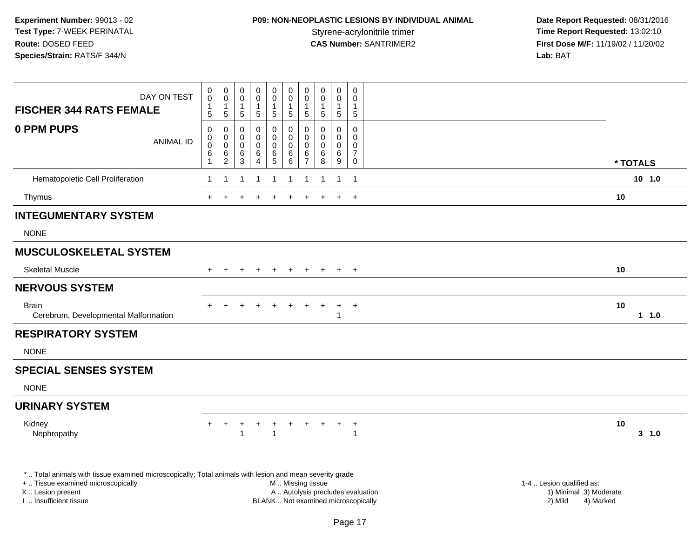# **P09: NON-NEOPLASTIC LESIONS BY INDIVIDUAL ANIMAL**

| <b>FISCHER 344 RATS FEMALE</b>                                                                           | DAY ON TEST      | 0<br>$\boldsymbol{0}$<br>$\mathbf{1}$ | $\begin{smallmatrix}0\0\0\end{smallmatrix}$<br>1 | 0<br>0<br>1                | $\mathbf 0$<br>$\overline{0}$<br>-1 | $\pmb{0}$<br>$\mathbf 0$<br>$\mathbf 1$ | $\mathbf 0$<br>$\overline{0}$<br>$\mathbf{1}$      | 0<br>0                         | 0<br>0<br>1                              | 0<br>$\mathsf{O}\xspace$<br>$\mathbf{1}$ | 0<br>$\mathbf 0$<br>$\mathbf{1}$                       |                                                     |
|----------------------------------------------------------------------------------------------------------|------------------|---------------------------------------|--------------------------------------------------|----------------------------|-------------------------------------|-----------------------------------------|----------------------------------------------------|--------------------------------|------------------------------------------|------------------------------------------|--------------------------------------------------------|-----------------------------------------------------|
|                                                                                                          |                  | 5                                     | $\overline{5}$                                   | 5                          | $\overline{5}$                      | $\sqrt{5}$                              | $\sqrt{5}$                                         | 5                              | 5                                        | $\sqrt{5}$                               | $\overline{5}$                                         |                                                     |
| 0 PPM PUPS                                                                                               | <b>ANIMAL ID</b> | $\mathbf 0$<br>0<br>0<br>6            | $\pmb{0}$<br>0<br>0                              | $\mathbf 0$<br>0<br>0<br>6 | 0<br>0<br>$\mathbf 0$<br>$\,6\,$    | 0<br>$\mathbf 0$<br>0                   | $\mathbf 0$<br>$\mathbf 0$<br>$\mathbf 0$<br>$\,6$ | $\Omega$<br>$\Omega$<br>0<br>6 | $\Omega$<br>$\Omega$<br>$\mathbf 0$<br>6 | $\mathbf 0$<br>$\mathbf 0$<br>0<br>$\,6$ | $\Omega$<br>$\Omega$<br>$\mathbf{0}$<br>$\overline{7}$ |                                                     |
|                                                                                                          |                  | $\mathbf{1}$                          | $^6_2$                                           | $\overline{3}$             | $\overline{4}$                      | $\begin{array}{c} 6 \\ 5 \end{array}$   | $\,6\,$                                            | $\overline{7}$                 | 8                                        | 9                                        | 0                                                      | * TOTALS                                            |
| Hematopoietic Cell Proliferation                                                                         |                  | -1                                    |                                                  |                            |                                     |                                         | 1                                                  | 1                              |                                          | $\overline{1}$                           | $\overline{1}$                                         | 10, 1.0                                             |
| Thymus                                                                                                   |                  | $+$                                   | $\ddot{}$                                        | $\pm$                      | $\ddot{}$                           | $\ddot{}$                               | $\ddot{}$                                          | $\ddot{}$                      |                                          | $+$                                      | $+$                                                    | 10                                                  |
| <b>INTEGUMENTARY SYSTEM</b>                                                                              |                  |                                       |                                                  |                            |                                     |                                         |                                                    |                                |                                          |                                          |                                                        |                                                     |
| <b>NONE</b>                                                                                              |                  |                                       |                                                  |                            |                                     |                                         |                                                    |                                |                                          |                                          |                                                        |                                                     |
| <b>MUSCULOSKELETAL SYSTEM</b>                                                                            |                  |                                       |                                                  |                            |                                     |                                         |                                                    |                                |                                          |                                          |                                                        |                                                     |
| <b>Skeletal Muscle</b>                                                                                   |                  |                                       |                                                  |                            |                                     |                                         |                                                    |                                |                                          | $\ddot{}$                                | $+$                                                    | 10                                                  |
| <b>NERVOUS SYSTEM</b>                                                                                    |                  |                                       |                                                  |                            |                                     |                                         |                                                    |                                |                                          |                                          |                                                        |                                                     |
| <b>Brain</b><br>Cerebrum, Developmental Malformation                                                     |                  |                                       |                                                  |                            |                                     |                                         |                                                    |                                |                                          | $\ddot{}$<br>-1                          | $+$                                                    | 10<br>11.0                                          |
| <b>RESPIRATORY SYSTEM</b>                                                                                |                  |                                       |                                                  |                            |                                     |                                         |                                                    |                                |                                          |                                          |                                                        |                                                     |
| <b>NONE</b>                                                                                              |                  |                                       |                                                  |                            |                                     |                                         |                                                    |                                |                                          |                                          |                                                        |                                                     |
| <b>SPECIAL SENSES SYSTEM</b>                                                                             |                  |                                       |                                                  |                            |                                     |                                         |                                                    |                                |                                          |                                          |                                                        |                                                     |
| <b>NONE</b>                                                                                              |                  |                                       |                                                  |                            |                                     |                                         |                                                    |                                |                                          |                                          |                                                        |                                                     |
| <b>URINARY SYSTEM</b>                                                                                    |                  |                                       |                                                  |                            |                                     |                                         |                                                    |                                |                                          |                                          |                                                        |                                                     |
| Kidney<br>Nephropathy                                                                                    |                  |                                       | ÷                                                | +<br>1                     | $\ddot{}$                           | $\ddot{}$<br>$\overline{1}$             | $+$                                                |                                | $+$                                      | $+$                                      | $+$<br>1                                               | 10<br>3, 1.0                                        |
| *  Total animals with tissue examined microscopically; Total animals with lesion and mean severity grade |                  |                                       |                                                  |                            |                                     |                                         |                                                    |                                |                                          |                                          |                                                        |                                                     |
| +  Tissue examined microscopically<br>X  Lesion present                                                  |                  |                                       |                                                  |                            |                                     |                                         | M  Missing tissue                                  |                                |                                          |                                          | A  Autolysis precludes evaluation                      | 1-4  Lesion qualified as:<br>1) Minimal 3) Moderate |
| I. Insufficient tissue                                                                                   |                  |                                       |                                                  |                            |                                     |                                         |                                                    |                                |                                          |                                          | BLANK  Not examined microscopically                    | 2) Mild<br>4) Marked                                |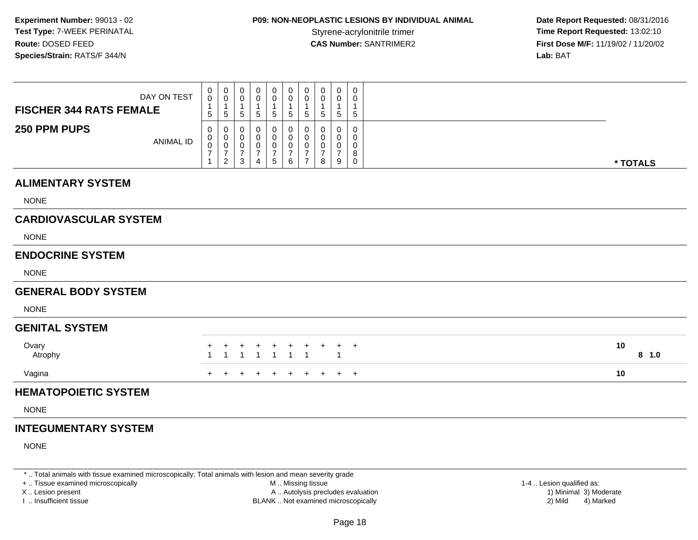## **P09: NON-NEOPLASTIC LESIONS BY INDIVIDUAL ANIMAL**

 **Date Report Requested:** 08/31/2016 **Time Report Requested: 13:02:10 CAS Number:** SANTRIMER2 **First Dose M/F:** 11/19/02 / 11/20/02 **Lab:** BAT

| <b>FISCHER 344 RATS FEMALE</b>          | DAY ON TEST      | 0<br>0<br>5                     | $\begin{smallmatrix}0\0\0\end{smallmatrix}$<br>$\mathbf 1$<br>$\sqrt{5}$ | 0<br>0<br>$\overline{1}$<br>5                            | 0<br>0<br>5                                     | 0<br>0<br>5                          | 0<br>0<br>5                  | 0<br>$\pmb{0}$<br>1<br>$\mathbf 5$                                | $\boldsymbol{0}$<br>$\pmb{0}$<br>$\mathbf{1}$<br>$\,$ 5 $\,$   | 0<br>0<br>5                        | 0<br>0<br>$\mathbf{1}$<br>$\sqrt{5}$                  |  |             |
|-----------------------------------------|------------------|---------------------------------|--------------------------------------------------------------------------|----------------------------------------------------------|-------------------------------------------------|--------------------------------------|------------------------------|-------------------------------------------------------------------|----------------------------------------------------------------|------------------------------------|-------------------------------------------------------|--|-------------|
| 250 PPM PUPS                            | <b>ANIMAL ID</b> | 0<br>$\pmb{0}$<br>$\frac{0}{7}$ | 0<br>$\mathbf 0$<br>$\frac{0}{7}$<br>$\overline{2}$                      | 0<br>0<br>$\mathbf 0$<br>$\boldsymbol{7}$<br>$\mathbf 3$ | 0<br>0<br>0<br>$\overline{7}$<br>$\overline{4}$ | 0<br>0<br>0<br>$\boldsymbol{7}$<br>5 | 0<br>0<br>$\frac{0}{7}$<br>6 | 0<br>$\mathbf 0$<br>$\pmb{0}$<br>$\overline{7}$<br>$\overline{7}$ | 0<br>$\boldsymbol{0}$<br>$\pmb{0}$<br>$\overline{7}$<br>$\bf8$ | 0<br>0<br>0<br>$\overline{7}$<br>9 | 0<br>$\pmb{0}$<br>$\pmb{0}$<br>$\bf 8$<br>$\mathbf 0$ |  | * TOTALS    |
| <b>ALIMENTARY SYSTEM</b><br><b>NONE</b> |                  |                                 |                                                                          |                                                          |                                                 |                                      |                              |                                                                   |                                                                |                                    |                                                       |  |             |
| <b>CARDIOVASCULAR SYSTEM</b>            |                  |                                 |                                                                          |                                                          |                                                 |                                      |                              |                                                                   |                                                                |                                    |                                                       |  |             |
| <b>NONE</b>                             |                  |                                 |                                                                          |                                                          |                                                 |                                      |                              |                                                                   |                                                                |                                    |                                                       |  |             |
| <b>ENDOCRINE SYSTEM</b>                 |                  |                                 |                                                                          |                                                          |                                                 |                                      |                              |                                                                   |                                                                |                                    |                                                       |  |             |
| <b>NONE</b>                             |                  |                                 |                                                                          |                                                          |                                                 |                                      |                              |                                                                   |                                                                |                                    |                                                       |  |             |
| <b>GENERAL BODY SYSTEM</b>              |                  |                                 |                                                                          |                                                          |                                                 |                                      |                              |                                                                   |                                                                |                                    |                                                       |  |             |
| <b>NONE</b>                             |                  |                                 |                                                                          |                                                          |                                                 |                                      |                              |                                                                   |                                                                |                                    |                                                       |  |             |
| <b>GENITAL SYSTEM</b>                   |                  |                                 |                                                                          |                                                          |                                                 |                                      |                              |                                                                   |                                                                |                                    |                                                       |  |             |
| Ovary<br>Atrophy                        |                  |                                 |                                                                          | $\overline{\mathbf{1}}$                                  | 1                                               |                                      | $\overline{1}$               | -1                                                                | $\div$                                                         | +                                  | $\overline{+}$                                        |  | 10<br>8 1.0 |
| Vagina                                  |                  |                                 |                                                                          |                                                          |                                                 |                                      |                              |                                                                   | $\ddot{}$                                                      | $+$                                | $+$                                                   |  | 10          |
| <b>HEMATOPOIETIC SYSTEM</b>             |                  |                                 |                                                                          |                                                          |                                                 |                                      |                              |                                                                   |                                                                |                                    |                                                       |  |             |
| <b>NONE</b>                             |                  |                                 |                                                                          |                                                          |                                                 |                                      |                              |                                                                   |                                                                |                                    |                                                       |  |             |
|                                         |                  |                                 |                                                                          |                                                          |                                                 |                                      |                              |                                                                   |                                                                |                                    |                                                       |  |             |

#### **INTEGUMENTARY SYSTEM**

NONE

\* .. Total animals with tissue examined microscopically; Total animals with lesion and mean severity grade

+ .. Tissue examined microscopically

X .. Lesion present

I .. Insufficient tissue

 M .. Missing tissueA .. Autolysis precludes evaluation

 1-4 .. Lesion qualified as: BLANK .. Not examined microscopically 2) Mild 4) Marked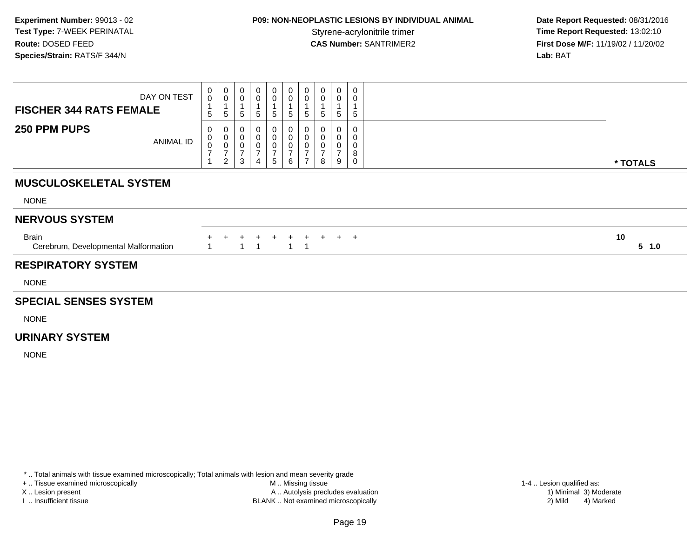## **P09: NON-NEOPLASTIC LESIONS BY INDIVIDUAL ANIMAL**

 **Date Report Requested:** 08/31/2016 **Time Report Requested: 13:02:10 CAS Number:** SANTRIMER2 **First Dose M/F:** 11/19/02 / 11/20/02 **Lab:** BAT

| <b>FISCHER 344 RATS FEMALE</b>                       | DAY ON TEST | $\bar{0}$<br>5      | $\begin{smallmatrix}0\\0\end{smallmatrix}$<br>5 | 5                        | 5                        | $\boldsymbol{0}$<br>5                                        | $\begin{smallmatrix} 0\\0 \end{smallmatrix}$<br>5 | $\mathbf 0$<br>5                      | $\mathbf 0$<br>5 | $\mathbf 0$<br>5 | 0<br>0<br>5                     |                 |
|------------------------------------------------------|-------------|---------------------|-------------------------------------------------|--------------------------|--------------------------|--------------------------------------------------------------|---------------------------------------------------|---------------------------------------|------------------|------------------|---------------------------------|-----------------|
| 250 PPM PUPS                                         | ANIMAL ID   | 0<br>$\overline{ }$ | $\pmb{0}$<br>$\overline{ }$<br>$\overline{2}$   | 0<br>$\overline{ }$<br>3 | 0<br>$\overline{ }$<br>4 | 0<br>$\pmb{0}$<br>$\overline{\phantom{0}}$<br>$\overline{5}$ | 0<br>0<br>0<br>$\overline{ }$<br>6                | 0<br>$\overline{ }$<br>$\overline{7}$ | ⇁<br>8           | 9                | 0<br>0<br>0<br>8<br>$\mathbf 0$ | * TOTALS        |
| <b>MUSCULOSKELETAL SYSTEM</b>                        |             |                     |                                                 |                          |                          |                                                              |                                                   |                                       |                  |                  |                                 |                 |
| <b>NONE</b>                                          |             |                     |                                                 |                          |                          |                                                              |                                                   |                                       |                  |                  |                                 |                 |
| <b>NERVOUS SYSTEM</b>                                |             |                     |                                                 |                          |                          |                                                              |                                                   |                                       |                  |                  |                                 |                 |
| <b>Brain</b><br>Cerebrum, Developmental Malformation |             |                     |                                                 |                          |                          |                                                              | $+$<br>$\mathbf{1}$                               | $+$<br>- 1                            | $+$              |                  | $+$ $+$                         | 10<br>$5 \t1.0$ |
| <b>RESPIRATORY SYSTEM</b>                            |             |                     |                                                 |                          |                          |                                                              |                                                   |                                       |                  |                  |                                 |                 |
| <b>NONE</b>                                          |             |                     |                                                 |                          |                          |                                                              |                                                   |                                       |                  |                  |                                 |                 |

#### **SPECIAL SENSES SYSTEM**

NONE

#### **URINARY SYSTEM**

NONE

\* .. Total animals with tissue examined microscopically; Total animals with lesion and mean severity grade

+ .. Tissue examined microscopically

X .. Lesion present

I .. Insufficient tissue

 M .. Missing tissueA .. Autolysis precludes evaluation

BLANK .. Not examined microscopically 2) Mild 4) Marked

1-4 .. Lesion qualified as: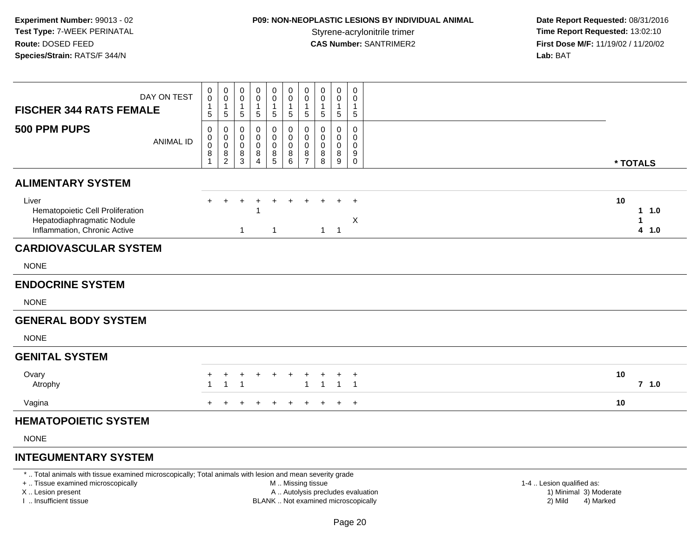## **P09: NON-NEOPLASTIC LESIONS BY INDIVIDUAL ANIMAL**

 **Date Report Requested:** 08/31/2016 **Time Report Requested: 13:02:10 CAS Number:** SANTRIMER2 **First Dose M/F:** 11/19/02 / 11/20/02 **Lab:** BAT

| <b>FISCHER 344 RATS FEMALE</b>                                                                          | DAY ON TEST      | 0<br>$\mathbf 0$<br>1<br>5                                  | 0<br>$\mathbf 0$<br>$\mathbf{1}$<br>5                  | 0<br>$\pmb{0}$<br>1<br>5        | 0<br>0<br>$\mathbf{1}$<br>5              | $\mathbf 0$<br>$\mathbf 0$<br>$\sqrt{5}$     | $\begin{smallmatrix} 0\\0 \end{smallmatrix}$<br>$\mathbf{1}$<br>$\sqrt{5}$ | 0<br>$\pmb{0}$<br>$\mathbf{1}$<br>$\sqrt{5}$                                     | 0<br>$\boldsymbol{0}$<br>1<br>$\sqrt{5}$ | 0<br>$\pmb{0}$<br>$\mathbf{1}$<br>5 | 0<br>0<br>1<br>$\sqrt{5}$                                |                          |
|---------------------------------------------------------------------------------------------------------|------------------|-------------------------------------------------------------|--------------------------------------------------------|---------------------------------|------------------------------------------|----------------------------------------------|----------------------------------------------------------------------------|----------------------------------------------------------------------------------|------------------------------------------|-------------------------------------|----------------------------------------------------------|--------------------------|
| 500 PPM PUPS                                                                                            | <b>ANIMAL ID</b> | 0<br>$\pmb{0}$<br>$\overline{0}$<br>$\bf 8$<br>$\mathbf{1}$ | 0<br>$\mathbf 0$<br>$\mathbf 0$<br>8<br>$\overline{2}$ | 0<br>0<br>$\mathbf 0$<br>$^8_3$ | 0<br>0<br>0<br>$\bf 8$<br>$\overline{4}$ | 0<br>$\pmb{0}$<br>$\pmb{0}$<br>$\frac{8}{5}$ | 0<br>$\mathbf 0$<br>$\ddot{\mathbf{0}}$<br>$\frac{8}{6}$                   | 0<br>$\mathsf{O}\xspace$<br>$\mathbf 0$<br>$\begin{array}{c} 8 \\ 7 \end{array}$ | 0<br>0<br>0<br>8<br>$\, 8$               | 0<br>0<br>0<br>8<br>9               | 0<br>0<br>$\mathbf 0$<br>$\boldsymbol{9}$<br>$\mathbf 0$ | * TOTALS                 |
| <b>ALIMENTARY SYSTEM</b>                                                                                |                  |                                                             |                                                        |                                 |                                          |                                              |                                                                            |                                                                                  |                                          |                                     |                                                          |                          |
| Liver<br>Hematopoietic Cell Proliferation<br>Hepatodiaphragmatic Nodule<br>Inflammation, Chronic Active |                  |                                                             |                                                        | 1                               |                                          |                                              |                                                                            |                                                                                  | 1                                        | $\overline{1}$                      | $\ddot{}$<br>$\boldsymbol{\mathsf{X}}$                   | 10<br>11.0<br>1<br>4 1.0 |
| <b>CARDIOVASCULAR SYSTEM</b>                                                                            |                  |                                                             |                                                        |                                 |                                          |                                              |                                                                            |                                                                                  |                                          |                                     |                                                          |                          |
| <b>NONE</b>                                                                                             |                  |                                                             |                                                        |                                 |                                          |                                              |                                                                            |                                                                                  |                                          |                                     |                                                          |                          |
| <b>ENDOCRINE SYSTEM</b>                                                                                 |                  |                                                             |                                                        |                                 |                                          |                                              |                                                                            |                                                                                  |                                          |                                     |                                                          |                          |
| <b>NONE</b>                                                                                             |                  |                                                             |                                                        |                                 |                                          |                                              |                                                                            |                                                                                  |                                          |                                     |                                                          |                          |
| <b>GENERAL BODY SYSTEM</b><br><b>NONE</b>                                                               |                  |                                                             |                                                        |                                 |                                          |                                              |                                                                            |                                                                                  |                                          |                                     |                                                          |                          |
| <b>GENITAL SYSTEM</b>                                                                                   |                  |                                                             |                                                        |                                 |                                          |                                              |                                                                            |                                                                                  |                                          |                                     |                                                          |                          |
| Ovary<br>Atrophy                                                                                        |                  |                                                             |                                                        |                                 |                                          |                                              |                                                                            | 1                                                                                | $\mathbf{1}$                             | $\overline{1}$                      | $\,^+$<br>$\overline{1}$                                 | 10<br>$7$ 1.0            |
| Vagina                                                                                                  |                  |                                                             |                                                        |                                 |                                          |                                              |                                                                            |                                                                                  |                                          |                                     | $\overline{+}$                                           | 10                       |
| <b>HEMATOPOIETIC SYSTEM</b>                                                                             |                  |                                                             |                                                        |                                 |                                          |                                              |                                                                            |                                                                                  |                                          |                                     |                                                          |                          |
|                                                                                                         |                  |                                                             |                                                        |                                 |                                          |                                              |                                                                            |                                                                                  |                                          |                                     |                                                          |                          |

NONE

#### **INTEGUMENTARY SYSTEM**

\* .. Total animals with tissue examined microscopically; Total animals with lesion and mean severity grade

+ .. Tissue examined microscopically

X .. Lesion present

I .. Insufficient tissue

 M .. Missing tissueA .. Autolysis precludes evaluation

 1-4 .. Lesion qualified as: BLANK .. Not examined microscopically 2) Mild 4) Marked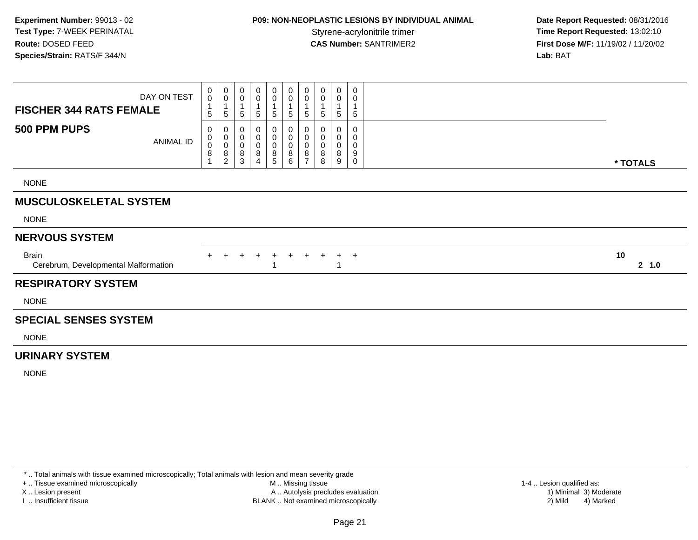## **P09: NON-NEOPLASTIC LESIONS BY INDIVIDUAL ANIMAL**

 **Date Report Requested:** 08/31/2016 **Time Report Requested: 13:02:10 CAS Number:** SANTRIMER2 **First Dose M/F:** 11/19/02 / 11/20/02 **Lab:** BAT

| <b>FISCHER 344 RATS FEMALE</b>                       | DAY ON TEST | 0<br>$\mathsf 0$<br>1<br>5           | 0<br>$\pmb{0}$<br>$\mathbf{1}$<br>$\,$ 5 $\,$      | 0<br>0<br>5                           | 0<br>0<br>5                           | 0<br>$\pmb{0}$<br>5           | $\mathbf 0$<br>$\mathsf 0$<br>$\sqrt{5}$                       | 0<br>$\boldsymbol{0}$<br>$\overline{A}$<br>$\sqrt{5}$ | 0<br>$\pmb{0}$<br>1<br>5 | 0<br>$\mathbf 0$<br>1<br>5              | 0<br>0<br>$\,$ 5 $\,$ |              |
|------------------------------------------------------|-------------|--------------------------------------|----------------------------------------------------|---------------------------------------|---------------------------------------|-------------------------------|----------------------------------------------------------------|-------------------------------------------------------|--------------------------|-----------------------------------------|-----------------------|--------------|
| 500 PPM PUPS                                         | ANIMAL ID   | 0<br>0<br>$\boldsymbol{0}$<br>8<br>1 | 0<br>$\pmb{0}$<br>$\pmb{0}$<br>8<br>$\overline{2}$ | 0<br>$\pmb{0}$<br>$\pmb{0}$<br>8<br>3 | 0<br>$\pmb{0}$<br>$\pmb{0}$<br>8<br>4 | 0<br>$\pmb{0}$<br>0<br>8<br>5 | $\mathbf 0$<br>$\mathbf 0$<br>$\pmb{0}$<br>8<br>$6\phantom{1}$ | 0<br>$\pmb{0}$<br>$\mathbf 0$<br>8<br>$\overline{7}$  | 0<br>0<br>0<br>8<br>8    | 0<br>$\pmb{0}$<br>$\mathbf 0$<br>8<br>9 | 0<br>0<br>0<br>9<br>0 | * TOTALS     |
| <b>NONE</b>                                          |             |                                      |                                                    |                                       |                                       |                               |                                                                |                                                       |                          |                                         |                       |              |
| <b>MUSCULOSKELETAL SYSTEM</b>                        |             |                                      |                                                    |                                       |                                       |                               |                                                                |                                                       |                          |                                         |                       |              |
| <b>NONE</b>                                          |             |                                      |                                                    |                                       |                                       |                               |                                                                |                                                       |                          |                                         |                       |              |
| <b>NERVOUS SYSTEM</b>                                |             |                                      |                                                    |                                       |                                       |                               |                                                                |                                                       |                          |                                         |                       |              |
| <b>Brain</b><br>Cerebrum, Developmental Malformation |             |                                      |                                                    |                                       |                                       |                               |                                                                |                                                       |                          |                                         | $\div$                | 10<br>2, 1.0 |
| <b>RESPIRATORY SYSTEM</b>                            |             |                                      |                                                    |                                       |                                       |                               |                                                                |                                                       |                          |                                         |                       |              |
| <b>NONE</b>                                          |             |                                      |                                                    |                                       |                                       |                               |                                                                |                                                       |                          |                                         |                       |              |
| <b>SPECIAL SENSES SYSTEM</b>                         |             |                                      |                                                    |                                       |                                       |                               |                                                                |                                                       |                          |                                         |                       |              |
| <b>NONE</b>                                          |             |                                      |                                                    |                                       |                                       |                               |                                                                |                                                       |                          |                                         |                       |              |

#### **URINARY SYSTEM**

NONE

\* .. Total animals with tissue examined microscopically; Total animals with lesion and mean severity grade

+ .. Tissue examined microscopically

X .. Lesion present

I .. Insufficient tissue

 M .. Missing tissueA .. Autolysis precludes evaluation

 1-4 .. Lesion qualified as: BLANK .. Not examined microscopically 2) Mild 4) Marked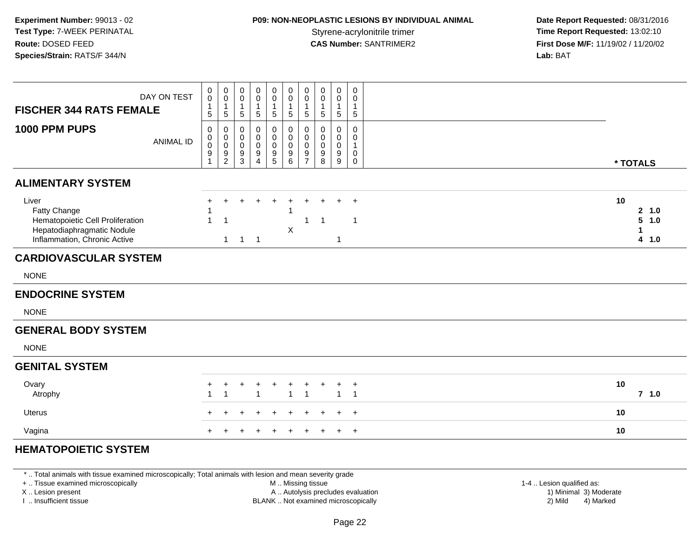## **P09: NON-NEOPLASTIC LESIONS BY INDIVIDUAL ANIMAL**

 **Date Report Requested:** 08/31/2016 **Time Report Requested: 13:02:10 CAS Number:** SANTRIMER2 **First Dose M/F:** 11/19/02 / 11/20/02 **Lab:** BAT

| DAY ON TEST<br><b>FISCHER 344 RATS FEMALE</b>                                                                           | $\pmb{0}$<br>$\pmb{0}$<br>$\mathbf{1}$<br>$5\phantom{.0}$ | $\pmb{0}$<br>$\mathbf 0$<br>$\mathbf{1}$<br>5                         | $\pmb{0}$<br>$\pmb{0}$<br>$\overline{1}$<br>$\sqrt{5}$                  | 0<br>0<br>$\overline{1}$<br>$\sqrt{5}$ | $\mathbf 0$<br>0<br>1<br>$\sqrt{5}$ | $\mathbf 0$<br>$\pmb{0}$<br>1<br>5 | $_{\rm 0}^{\rm 0}$<br>$\mathbf{1}$<br>$\sqrt{5}$  | $\mathsf 0$<br>0<br>$\mathbf{1}$<br>5                    | $\pmb{0}$<br>0<br>$\mathbf{1}$<br>$\sqrt{5}$ | $\,0\,$<br>0<br>$\mathbf{1}$<br>$\,$ 5 $\,$                    |                                         |
|-------------------------------------------------------------------------------------------------------------------------|-----------------------------------------------------------|-----------------------------------------------------------------------|-------------------------------------------------------------------------|----------------------------------------|-------------------------------------|------------------------------------|---------------------------------------------------|----------------------------------------------------------|----------------------------------------------|----------------------------------------------------------------|-----------------------------------------|
| 1000 PPM PUPS<br><b>ANIMAL ID</b>                                                                                       | $\mathbf 0$<br>0<br>$\pmb{0}$<br>9<br>1                   | 0<br>$\mathbf 0$<br>$\mathbf 0$<br>$\boldsymbol{9}$<br>$\overline{2}$ | $\mathbf 0$<br>$\boldsymbol{0}$<br>$\mathbf 0$<br>$\boldsymbol{9}$<br>3 | 0<br>0<br>$\mathbf 0$<br>9<br>4        | 0<br>0<br>$\mathbf 0$<br>9<br>5     | 0<br>0<br>$\mathbf 0$<br>9<br>6    | 0<br>$\overline{0}$ <sub>0</sub><br>$\frac{9}{7}$ | 0<br>$\mathbf 0$<br>$\mathbf 0$<br>$\boldsymbol{9}$<br>8 | 0<br>0<br>$\pmb{0}$<br>9<br>$9\,$            | $\mathsf 0$<br>0<br>$\mathbf{1}$<br>$\mathbf 0$<br>$\mathbf 0$ | * TOTALS                                |
| <b>ALIMENTARY SYSTEM</b>                                                                                                |                                                           |                                                                       |                                                                         |                                        |                                     |                                    |                                                   |                                                          |                                              |                                                                |                                         |
| Liver<br>Fatty Change<br>Hematopoietic Cell Proliferation<br>Hepatodiaphragmatic Nodule<br>Inflammation, Chronic Active | +<br>1<br>$\overline{1}$                                  | $\ddot{}$<br>$\mathbf{1}$                                             | $\overline{1}$                                                          | $\overline{1}$                         |                                     | $\ddot{}$<br>X                     | 1                                                 | $\ddot{}$<br>$\overline{1}$                              | $+$<br>$\mathbf{1}$                          | $\overline{+}$<br>$\overline{1}$                               | 10<br>2, 1.0<br>$5 - 1.0$<br>1<br>4 1.0 |
| <b>CARDIOVASCULAR SYSTEM</b>                                                                                            |                                                           |                                                                       |                                                                         |                                        |                                     |                                    |                                                   |                                                          |                                              |                                                                |                                         |
| <b>NONE</b>                                                                                                             |                                                           |                                                                       |                                                                         |                                        |                                     |                                    |                                                   |                                                          |                                              |                                                                |                                         |
| <b>ENDOCRINE SYSTEM</b>                                                                                                 |                                                           |                                                                       |                                                                         |                                        |                                     |                                    |                                                   |                                                          |                                              |                                                                |                                         |
| <b>NONE</b>                                                                                                             |                                                           |                                                                       |                                                                         |                                        |                                     |                                    |                                                   |                                                          |                                              |                                                                |                                         |
| <b>GENERAL BODY SYSTEM</b>                                                                                              |                                                           |                                                                       |                                                                         |                                        |                                     |                                    |                                                   |                                                          |                                              |                                                                |                                         |
| <b>NONE</b>                                                                                                             |                                                           |                                                                       |                                                                         |                                        |                                     |                                    |                                                   |                                                          |                                              |                                                                |                                         |
| <b>GENITAL SYSTEM</b>                                                                                                   |                                                           |                                                                       |                                                                         |                                        |                                     |                                    |                                                   |                                                          |                                              |                                                                |                                         |
| Ovary<br>Atrophy                                                                                                        | $\ddot{}$<br>$\overline{1}$                               | +<br>$\overline{1}$                                                   |                                                                         | 1                                      |                                     | $\mathbf{1}$                       | $\overline{1}$                                    |                                                          | +<br>$\mathbf 1$                             | $\overline{+}$<br>$\overline{1}$                               | 10<br>$7$ 1.0                           |
| Uterus                                                                                                                  |                                                           |                                                                       |                                                                         |                                        |                                     |                                    |                                                   | ÷                                                        | $\pm$                                        | $\overline{+}$                                                 | 10                                      |
| Vagina                                                                                                                  | $\ddot{}$                                                 |                                                                       |                                                                         |                                        |                                     |                                    |                                                   | $\ddot{}$                                                | $+$                                          | $\overline{+}$                                                 | 10                                      |

\* .. Total animals with tissue examined microscopically; Total animals with lesion and mean severity grade

+ .. Tissue examined microscopically

X .. Lesion present

I .. Insufficient tissue

 M .. Missing tissueA .. Autolysis precludes evaluation

BLANK .. Not examined microscopically 2) Mild 4) Marked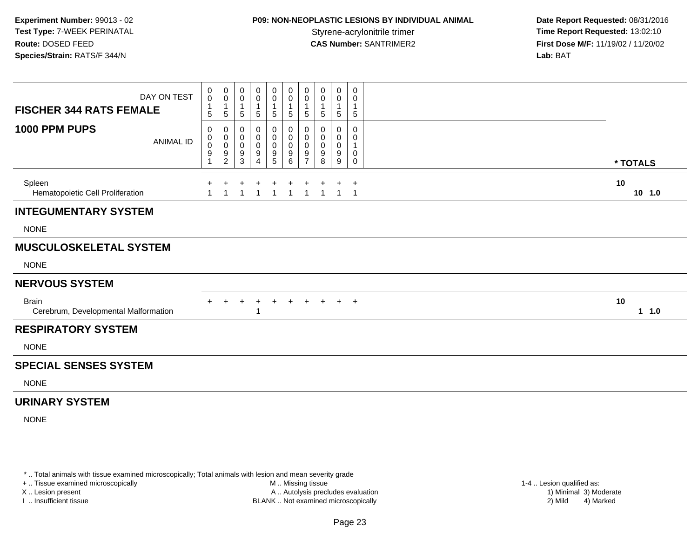## **P09: NON-NEOPLASTIC LESIONS BY INDIVIDUAL ANIMAL**

 **Date Report Requested:** 08/31/2016 **Time Report Requested: 13:02:10 CAS Number:** SANTRIMER2 **First Dose M/F:** 11/19/02 / 11/20/02 **Lab:** BAT

| DAY ON TEST<br><b>FISCHER 344 RATS FEMALE</b>        | 0<br>$\mathsf{O}\xspace$<br>$\mathbf{1}$<br>5  | 0<br>0<br>1<br>5                   | 0<br>0<br>5           | 0<br>$\mathbf 0$<br>5           | $\boldsymbol{0}$<br>$\pmb{0}$<br>$\overline{1}$<br>5 | 0<br>$\mathbf 0$<br>$\mathbf{1}$<br>5 | 0<br>0<br>5           | 0<br>0<br>5           | 0<br>0<br>5           | 0<br>0<br>5                 |                |
|------------------------------------------------------|------------------------------------------------|------------------------------------|-----------------------|---------------------------------|------------------------------------------------------|---------------------------------------|-----------------------|-----------------------|-----------------------|-----------------------------|----------------|
| 1000 PPM PUPS                                        | 0<br>0<br><b>ANIMAL ID</b><br>$\mathbf 0$<br>9 | 0<br>0<br>0<br>9<br>$\overline{c}$ | 0<br>0<br>0<br>9<br>3 | 0<br>0<br>$\mathbf 0$<br>9<br>Δ | 0<br>0<br>$\pmb{0}$<br>9<br>$\sqrt{5}$               | 0<br>0<br>$\mathbf 0$<br>9<br>6       | 0<br>0<br>0<br>9<br>7 | 0<br>0<br>0<br>9<br>8 | 0<br>0<br>0<br>9<br>9 | 0<br>0<br>0<br>0            | * TOTALS       |
| Spleen<br>Hematopoietic Cell Proliferation           |                                                |                                    |                       |                                 |                                                      | 1                                     | 1                     |                       | $\overline{1}$        | $\ddot{}$<br>$\overline{1}$ | 10<br>$10$ 1.0 |
| <b>INTEGUMENTARY SYSTEM</b>                          |                                                |                                    |                       |                                 |                                                      |                                       |                       |                       |                       |                             |                |
| <b>NONE</b>                                          |                                                |                                    |                       |                                 |                                                      |                                       |                       |                       |                       |                             |                |
| <b>MUSCULOSKELETAL SYSTEM</b>                        |                                                |                                    |                       |                                 |                                                      |                                       |                       |                       |                       |                             |                |
| <b>NONE</b>                                          |                                                |                                    |                       |                                 |                                                      |                                       |                       |                       |                       |                             |                |
| <b>NERVOUS SYSTEM</b>                                |                                                |                                    |                       |                                 |                                                      |                                       |                       |                       |                       |                             |                |
| <b>Brain</b><br>Cerebrum, Developmental Malformation |                                                |                                    |                       |                                 |                                                      | $+$                                   | $+$                   | $+$                   | $+$                   | $+$                         | 10<br>11.0     |
| <b>RESPIRATORY SYSTEM</b>                            |                                                |                                    |                       |                                 |                                                      |                                       |                       |                       |                       |                             |                |
| <b>NONE</b>                                          |                                                |                                    |                       |                                 |                                                      |                                       |                       |                       |                       |                             |                |
| <b>SPECIAL SENSES SYSTEM</b>                         |                                                |                                    |                       |                                 |                                                      |                                       |                       |                       |                       |                             |                |
| <b>NONE</b>                                          |                                                |                                    |                       |                                 |                                                      |                                       |                       |                       |                       |                             |                |
| <b>URINARY SYSTEM</b>                                |                                                |                                    |                       |                                 |                                                      |                                       |                       |                       |                       |                             |                |
| <b>NONE</b>                                          |                                                |                                    |                       |                                 |                                                      |                                       |                       |                       |                       |                             |                |

\* .. Total animals with tissue examined microscopically; Total animals with lesion and mean severity grade

+ .. Tissue examined microscopically

X .. Lesion present

I .. Insufficient tissue

 M .. Missing tissueA .. Autolysis precludes evaluation

1-4 .. Lesion qualified as:<br>1) Minimal 3) Moderate BLANK .. Not examined microscopically 2) Mild 4) Marked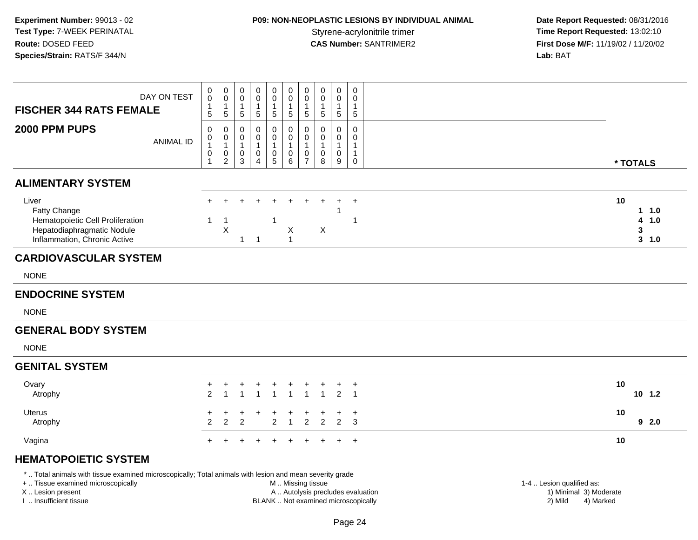# **P09: NON-NEOPLASTIC LESIONS BY INDIVIDUAL ANIMAL**

 **Date Report Requested:** 08/31/2016 Styrene-acrylonitrile trimer<br> **CAS Number:** SANTRIMER2<br> **CAS Number:** SANTRIMER2<br> **Time Report Requested:** 13:02:10 **First Dose M/F:** 11/19/02 / 11/20/02<br>Lab: BAT **Lab:** BAT

| DAY ON TEST<br><b>FISCHER 344 RATS FEMALE</b>                                                                           | 0<br>$\mathbf 0$<br>$\mathbf{1}$<br>$5\,$                                                                                                                          | $\pmb{0}$<br>$\mathsf 0$<br>$\mathbf{1}$<br>$\overline{5}$        | 0<br>$\mathbf 0$<br>$\mathbf{1}$<br>$\sqrt{5}$                       | $\mathbf 0$<br>0<br>$\mathbf{1}$<br>$\sqrt{5}$                    | $\mathbf 0$<br>$\mathbf 0$<br>$\mathbf{1}$<br>$\overline{5}$                        | 0<br>$\mathbf 0$<br>$\mathbf{1}$<br>5             | $\pmb{0}$<br>$\mathbf 0$<br>$\mathbf{1}$<br>$\overline{5}$      | $\mathbf 0$<br>0<br>$\mathbf{1}$<br>$5\phantom{.0}$ | $\pmb{0}$<br>0<br>$\mathbf{1}$<br>$\sqrt{5}$       | $\mathsf{O}\xspace$<br>0<br>$\mathbf{1}$<br>$5\phantom{.0}$               |  |                                                     |                                    |
|-------------------------------------------------------------------------------------------------------------------------|--------------------------------------------------------------------------------------------------------------------------------------------------------------------|-------------------------------------------------------------------|----------------------------------------------------------------------|-------------------------------------------------------------------|-------------------------------------------------------------------------------------|---------------------------------------------------|-----------------------------------------------------------------|-----------------------------------------------------|----------------------------------------------------|---------------------------------------------------------------------------|--|-----------------------------------------------------|------------------------------------|
| 2000 PPM PUPS<br><b>ANIMAL ID</b>                                                                                       | $\mathbf 0$<br>0<br>$\mathbf{1}$<br>0<br>1                                                                                                                         | 0<br>$\mathbf 0$<br>$\mathbf{1}$<br>$\mathbf 0$<br>$\overline{2}$ | 0<br>$\mathsf 0$<br>$\mathbf{1}$<br>$\boldsymbol{0}$<br>$\mathbf{3}$ | 0<br>$\mathbf 0$<br>$\mathbf{1}$<br>$\mathbf 0$<br>$\overline{4}$ | $\mathbf 0$<br>$\mathbf 0$<br>$\mathbf{1}$<br>$\mathsf{O}\xspace$<br>$5\phantom{1}$ | 0<br>$\mathbf 0$<br>1<br>$\mathsf{O}\xspace$<br>6 | 0<br>$\mathbf 0$<br>$\mathbf{1}$<br>$\pmb{0}$<br>$\overline{7}$ | 0<br>$\mathbf 0$<br>$\mathbf{1}$<br>0<br>8          | $\mathbf 0$<br>0<br>$\mathbf{1}$<br>$\pmb{0}$<br>9 | $\mathbf 0$<br>$\mathbf 0$<br>$\mathbf{1}$<br>$\mathbf{1}$<br>$\mathbf 0$ |  |                                                     | * TOTALS                           |
| <b>ALIMENTARY SYSTEM</b>                                                                                                |                                                                                                                                                                    |                                                                   |                                                                      |                                                                   |                                                                                     |                                                   |                                                                 |                                                     |                                                    |                                                                           |  |                                                     |                                    |
| Liver<br>Fatty Change<br>Hematopoietic Cell Proliferation<br>Hepatodiaphragmatic Nodule<br>Inflammation, Chronic Active | $+$<br>$\mathbf{1}$                                                                                                                                                | $\mathbf 1$<br>$\sf X$                                            | $\mathbf 1$                                                          | $\overline{1}$                                                    | $\ddot{}$<br>$\mathbf 1$                                                            | $\ddot{}$<br>X<br>$\mathbf{1}$                    | $\ddot{}$                                                       | $\ddot{}$<br>X                                      | $+$                                                | $\ddot{}$<br>$\mathbf 1$                                                  |  | 10                                                  | $1 1.0$<br>4 1.0<br>3<br>$3 - 1.0$ |
| <b>CARDIOVASCULAR SYSTEM</b>                                                                                            |                                                                                                                                                                    |                                                                   |                                                                      |                                                                   |                                                                                     |                                                   |                                                                 |                                                     |                                                    |                                                                           |  |                                                     |                                    |
| <b>NONE</b>                                                                                                             |                                                                                                                                                                    |                                                                   |                                                                      |                                                                   |                                                                                     |                                                   |                                                                 |                                                     |                                                    |                                                                           |  |                                                     |                                    |
| <b>ENDOCRINE SYSTEM</b>                                                                                                 |                                                                                                                                                                    |                                                                   |                                                                      |                                                                   |                                                                                     |                                                   |                                                                 |                                                     |                                                    |                                                                           |  |                                                     |                                    |
| <b>NONE</b>                                                                                                             |                                                                                                                                                                    |                                                                   |                                                                      |                                                                   |                                                                                     |                                                   |                                                                 |                                                     |                                                    |                                                                           |  |                                                     |                                    |
| <b>GENERAL BODY SYSTEM</b>                                                                                              |                                                                                                                                                                    |                                                                   |                                                                      |                                                                   |                                                                                     |                                                   |                                                                 |                                                     |                                                    |                                                                           |  |                                                     |                                    |
| <b>NONE</b>                                                                                                             |                                                                                                                                                                    |                                                                   |                                                                      |                                                                   |                                                                                     |                                                   |                                                                 |                                                     |                                                    |                                                                           |  |                                                     |                                    |
| <b>GENITAL SYSTEM</b>                                                                                                   |                                                                                                                                                                    |                                                                   |                                                                      |                                                                   |                                                                                     |                                                   |                                                                 |                                                     |                                                    |                                                                           |  |                                                     |                                    |
| Ovary<br>Atrophy                                                                                                        | $\ddot{}$<br>$\mathfrak{p}$                                                                                                                                        | $\ddot{}$<br>$\overline{1}$                                       | $\overline{1}$                                                       | $\overline{1}$                                                    | $\overline{1}$                                                                      | +<br>$\overline{1}$                               | $\overline{1}$                                                  | $\ddot{}$<br>$\overline{1}$                         | $\ddot{}$                                          | $\overline{+}$<br>$2 \quad 1$                                             |  | 10                                                  | $10 \t1.2$                         |
| <b>Uterus</b><br>Atrophy                                                                                                | $\overline{2}$                                                                                                                                                     | $\ddot{}$<br>2                                                    | 2                                                                    |                                                                   | $\overline{2}$                                                                      | $\mathbf{1}$                                      | $\overline{2}$                                                  | $\overline{2}$                                      | $+$<br>$\overline{2}$                              | $\ddot{}$<br>3                                                            |  | 10                                                  | 92.0                               |
| Vagina                                                                                                                  | $\ddot{}$                                                                                                                                                          |                                                                   |                                                                      |                                                                   |                                                                                     |                                                   |                                                                 |                                                     | $+$                                                | $+$                                                                       |  | 10                                                  |                                    |
| <b>HEMATOPOIETIC SYSTEM</b>                                                                                             |                                                                                                                                                                    |                                                                   |                                                                      |                                                                   |                                                                                     |                                                   |                                                                 |                                                     |                                                    |                                                                           |  |                                                     |                                    |
| +  Tissue examined microscopically<br>X  Lesion present                                                                 | *  Total animals with tissue examined microscopically; Total animals with lesion and mean severity grade<br>M  Missing tissue<br>A  Autolysis precludes evaluation |                                                                   |                                                                      |                                                                   |                                                                                     |                                                   |                                                                 |                                                     |                                                    |                                                                           |  | 1-4  Lesion qualified as:<br>1) Minimal 3) Moderate |                                    |

I .. Insufficient tissue

BLANK .. Not examined microscopically 2) Mild 4) Marked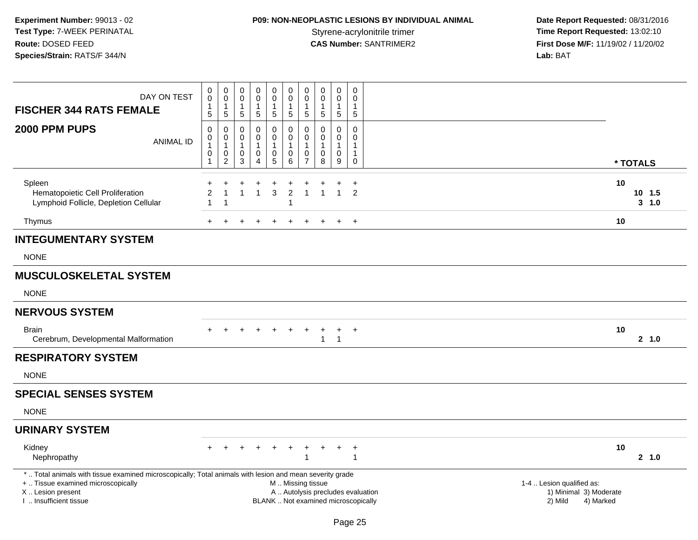# **P09: NON-NEOPLASTIC LESIONS BY INDIVIDUAL ANIMAL**

| DAY ON TEST<br><b>FISCHER 344 RATS FEMALE</b><br>2000 PPM PUPS<br><b>ANIMAL ID</b>                                                                                                            | $\pmb{0}$<br>$\mathbf 0$<br>$\mathbf{1}$<br>5<br>$\mathbf 0$<br>$\boldsymbol{0}$<br>$\mathbf{1}$<br>0<br>$\mathbf{1}$ | $\pmb{0}$<br>$\boldsymbol{0}$<br>$\mathbf{1}$<br>$\overline{5}$<br>0<br>$\pmb{0}$<br>$\overline{1}$<br>$\pmb{0}$<br>2 | 0<br>$\mathbf 0$<br>$\mathbf{1}$<br>$\sqrt{5}$<br>0<br>0<br>-1<br>0<br>3 | $\mathbf 0$<br>$\mathbf 0$<br>$\mathbf{1}$<br>$\sqrt{5}$<br>0<br>$\mathbf 0$<br>$\mathbf{1}$<br>$\pmb{0}$<br>$\overline{4}$ | 0<br>$\mathbf 0$<br>1<br>5<br>0<br>$\mathbf 0$<br>1<br>$\pmb{0}$<br>5 | 0<br>$\mathbf 0$<br>1<br>$5\phantom{.0}$<br>0<br>$\overline{0}$<br>$\overline{1}$<br>0<br>$\,6\,$ | $\pmb{0}$<br>$\mathbf 0$<br>$\mathbf{1}$<br>5<br>0<br>$\mathbf 0$<br>$\mathbf{1}$<br>0<br>$\overline{7}$ | $\pmb{0}$<br>$\mathbf 0$<br>-1<br>$\sqrt{5}$<br>$\mathbf{0}$<br>$\Omega$<br>$\boldsymbol{0}$<br>8 | $\boldsymbol{0}$<br>$\mathbf 0$<br>$\mathbf{1}$<br>$\overline{5}$<br>$\mathbf 0$<br>$\mathbf 0$<br>$\mathbf{1}$<br>$\mathbf 0$<br>9 | 0<br>$\mathbf{0}$<br>1<br>$\sqrt{5}$<br>0<br>0<br>1<br>$\mathbf{1}$<br>0 | * TOTALS                                                                    |                       |
|-----------------------------------------------------------------------------------------------------------------------------------------------------------------------------------------------|-----------------------------------------------------------------------------------------------------------------------|-----------------------------------------------------------------------------------------------------------------------|--------------------------------------------------------------------------|-----------------------------------------------------------------------------------------------------------------------------|-----------------------------------------------------------------------|---------------------------------------------------------------------------------------------------|----------------------------------------------------------------------------------------------------------|---------------------------------------------------------------------------------------------------|-------------------------------------------------------------------------------------------------------------------------------------|--------------------------------------------------------------------------|-----------------------------------------------------------------------------|-----------------------|
| Spleen<br>Hematopoietic Cell Proliferation<br>Lymphoid Follicle, Depletion Cellular                                                                                                           | $\overline{2}$                                                                                                        | $\overline{1}$<br>-1                                                                                                  | $\mathbf{1}$                                                             | $\mathbf{1}$                                                                                                                | +<br>3                                                                | $\overline{2}$                                                                                    | $\overline{1}$                                                                                           |                                                                                                   | $\overline{1}$                                                                                                                      | $\ddot{}$<br>$\overline{2}$                                              | 10                                                                          | $10$ 1.5<br>$3 - 1.0$ |
| Thymus                                                                                                                                                                                        | $+$                                                                                                                   |                                                                                                                       | $\div$                                                                   | $\ddot{}$                                                                                                                   | $\div$                                                                | $+$                                                                                               | $\ddot{}$                                                                                                | $+$                                                                                               | $+$                                                                                                                                 | $+$                                                                      | 10                                                                          |                       |
| <b>INTEGUMENTARY SYSTEM</b>                                                                                                                                                                   |                                                                                                                       |                                                                                                                       |                                                                          |                                                                                                                             |                                                                       |                                                                                                   |                                                                                                          |                                                                                                   |                                                                                                                                     |                                                                          |                                                                             |                       |
| <b>NONE</b>                                                                                                                                                                                   |                                                                                                                       |                                                                                                                       |                                                                          |                                                                                                                             |                                                                       |                                                                                                   |                                                                                                          |                                                                                                   |                                                                                                                                     |                                                                          |                                                                             |                       |
| <b>MUSCULOSKELETAL SYSTEM</b>                                                                                                                                                                 |                                                                                                                       |                                                                                                                       |                                                                          |                                                                                                                             |                                                                       |                                                                                                   |                                                                                                          |                                                                                                   |                                                                                                                                     |                                                                          |                                                                             |                       |
| <b>NONE</b>                                                                                                                                                                                   |                                                                                                                       |                                                                                                                       |                                                                          |                                                                                                                             |                                                                       |                                                                                                   |                                                                                                          |                                                                                                   |                                                                                                                                     |                                                                          |                                                                             |                       |
| <b>NERVOUS SYSTEM</b>                                                                                                                                                                         |                                                                                                                       |                                                                                                                       |                                                                          |                                                                                                                             |                                                                       |                                                                                                   |                                                                                                          |                                                                                                   |                                                                                                                                     |                                                                          |                                                                             |                       |
| <b>Brain</b><br>Cerebrum, Developmental Malformation                                                                                                                                          |                                                                                                                       |                                                                                                                       | $\div$                                                                   |                                                                                                                             | $\div$                                                                | $\ddot{}$                                                                                         | $\ddot{}$                                                                                                | $\ddot{}$<br>$\mathbf{1}$                                                                         | $\ddot{}$<br>$\overline{1}$                                                                                                         | $+$                                                                      | 10                                                                          | 2 1.0                 |
| <b>RESPIRATORY SYSTEM</b>                                                                                                                                                                     |                                                                                                                       |                                                                                                                       |                                                                          |                                                                                                                             |                                                                       |                                                                                                   |                                                                                                          |                                                                                                   |                                                                                                                                     |                                                                          |                                                                             |                       |
| <b>NONE</b>                                                                                                                                                                                   |                                                                                                                       |                                                                                                                       |                                                                          |                                                                                                                             |                                                                       |                                                                                                   |                                                                                                          |                                                                                                   |                                                                                                                                     |                                                                          |                                                                             |                       |
| <b>SPECIAL SENSES SYSTEM</b>                                                                                                                                                                  |                                                                                                                       |                                                                                                                       |                                                                          |                                                                                                                             |                                                                       |                                                                                                   |                                                                                                          |                                                                                                   |                                                                                                                                     |                                                                          |                                                                             |                       |
| <b>NONE</b>                                                                                                                                                                                   |                                                                                                                       |                                                                                                                       |                                                                          |                                                                                                                             |                                                                       |                                                                                                   |                                                                                                          |                                                                                                   |                                                                                                                                     |                                                                          |                                                                             |                       |
| <b>URINARY SYSTEM</b>                                                                                                                                                                         |                                                                                                                       |                                                                                                                       |                                                                          |                                                                                                                             |                                                                       |                                                                                                   |                                                                                                          |                                                                                                   |                                                                                                                                     |                                                                          |                                                                             |                       |
| Kidney<br>Nephropathy                                                                                                                                                                         |                                                                                                                       |                                                                                                                       |                                                                          |                                                                                                                             |                                                                       |                                                                                                   | $\mathbf 1$                                                                                              |                                                                                                   |                                                                                                                                     | $\ddot{}$<br>1                                                           | 10                                                                          | 2, 1.0                |
| *  Total animals with tissue examined microscopically; Total animals with lesion and mean severity grade<br>+  Tissue examined microscopically<br>X  Lesion present<br>I  Insufficient tissue |                                                                                                                       |                                                                                                                       |                                                                          |                                                                                                                             |                                                                       | M  Missing tissue<br>A  Autolysis precludes evaluation<br>BLANK  Not examined microscopically     |                                                                                                          |                                                                                                   |                                                                                                                                     |                                                                          | 1-4  Lesion qualified as:<br>1) Minimal 3) Moderate<br>2) Mild<br>4) Marked |                       |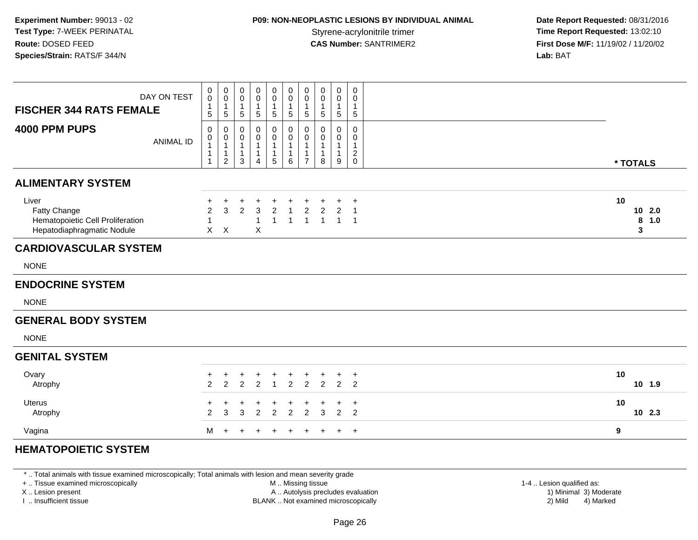## **P09: NON-NEOPLASTIC LESIONS BY INDIVIDUAL ANIMAL**

 **Date Report Requested:** 08/31/2016 **Time Report Requested: 13:02:10 CAS Number:** SANTRIMER2 **First Dose M/F:** 11/19/02 / 11/20/02 **Lab:** BAT

| DAY ON TEST<br><b>FISCHER 344 RATS FEMALE</b>                                           | $\mathbf 0$<br>$\ddot{\mathbf{0}}$<br>$\mathbf{1}$<br>$\sqrt{5}$ | $\mathbf 0$<br>$\ddot{\mathbf{0}}$<br>$\mathbf{1}$<br>$\,$ 5 $\,$         | 0<br>$\mathbf 0$<br>$\mathbf{1}$<br>$\sqrt{5}$                     | $\mathbf 0$<br>$\mathbf 0$<br>$\mathbf{1}$<br>$\sqrt{5}$         | $\mathbf 0$<br>$\mathbf 0$<br>1<br>5               | $\mathbf 0$<br>$\bar{0}$<br>$\mathbf{1}$<br>5         | $\pmb{0}$<br>$\ddot{\mathbf{0}}$<br>$\mathbf{1}$<br>$\sqrt{5}$   | $\pmb{0}$<br>$\ddot{\mathbf{0}}$<br>$\mathbf{1}$<br>$\sqrt{5}$ | $\mathbf 0$<br>$\mathbf 0$<br>$\mathbf{1}$<br>$\sqrt{5}$ | $\mathsf{O}\xspace$<br>$\pmb{0}$<br>$\mathbf{1}$<br>$\,$ 5 $\,$ |                              |
|-----------------------------------------------------------------------------------------|------------------------------------------------------------------|---------------------------------------------------------------------------|--------------------------------------------------------------------|------------------------------------------------------------------|----------------------------------------------------|-------------------------------------------------------|------------------------------------------------------------------|----------------------------------------------------------------|----------------------------------------------------------|-----------------------------------------------------------------|------------------------------|
| 4000 PPM PUPS<br><b>ANIMAL ID</b>                                                       | 0<br>0<br>$\mathbf{1}$<br>1<br>1                                 | 0<br>$\boldsymbol{0}$<br>$\overline{1}$<br>$\mathbf{1}$<br>$\overline{2}$ | 0<br>$\pmb{0}$<br>$\overline{1}$<br>$\overline{1}$<br>$\mathbf{3}$ | 0<br>$\pmb{0}$<br>$\mathbf{1}$<br>$\mathbf{1}$<br>$\overline{4}$ | $\mathbf 0$<br>$\pmb{0}$<br>$\mathbf{1}$<br>1<br>5 | 0<br>$\mathbf 0$<br>$\mathbf{1}$<br>$\mathbf{1}$<br>6 | 0<br>$\pmb{0}$<br>$\mathbf{1}$<br>$\mathbf{1}$<br>$\overline{7}$ | 0<br>$\pmb{0}$<br>$\mathbf{1}$<br>$\mathbf{1}$<br>$\,8\,$      | 0<br>0<br>$\mathbf{1}$<br>$\boldsymbol{9}$               | $\mathsf 0$<br>$\pmb{0}$<br>$\mathbf{1}$<br>$\frac{2}{0}$       | * TOTALS                     |
| <b>ALIMENTARY SYSTEM</b>                                                                |                                                                  |                                                                           |                                                                    |                                                                  |                                                    |                                                       |                                                                  |                                                                |                                                          |                                                                 |                              |
| Liver<br>Fatty Change<br>Hematopoietic Cell Proliferation<br>Hepatodiaphragmatic Nodule | ٠<br>$\overline{2}$<br>$\overline{1}$                            | +<br>3<br>$X$ $X$                                                         | $\overline{2}$                                                     | 3<br>$\mathbf{1}$<br>X                                           | $\overline{2}$<br>1                                | $\overline{1}$<br>$\mathbf{1}$                        | $\overline{c}$<br>$\overline{1}$                                 | $\overline{2}$<br>$\mathbf{1}$                                 | 2<br>$\mathbf{1}$                                        | $\overline{1}$<br>$\overline{1}$                                | 10<br>102.0<br>8<br>1.0<br>3 |
| <b>CARDIOVASCULAR SYSTEM</b>                                                            |                                                                  |                                                                           |                                                                    |                                                                  |                                                    |                                                       |                                                                  |                                                                |                                                          |                                                                 |                              |
| <b>NONE</b>                                                                             |                                                                  |                                                                           |                                                                    |                                                                  |                                                    |                                                       |                                                                  |                                                                |                                                          |                                                                 |                              |
| <b>ENDOCRINE SYSTEM</b>                                                                 |                                                                  |                                                                           |                                                                    |                                                                  |                                                    |                                                       |                                                                  |                                                                |                                                          |                                                                 |                              |
| <b>NONE</b>                                                                             |                                                                  |                                                                           |                                                                    |                                                                  |                                                    |                                                       |                                                                  |                                                                |                                                          |                                                                 |                              |
| <b>GENERAL BODY SYSTEM</b>                                                              |                                                                  |                                                                           |                                                                    |                                                                  |                                                    |                                                       |                                                                  |                                                                |                                                          |                                                                 |                              |
| <b>NONE</b>                                                                             |                                                                  |                                                                           |                                                                    |                                                                  |                                                    |                                                       |                                                                  |                                                                |                                                          |                                                                 |                              |
| <b>GENITAL SYSTEM</b>                                                                   |                                                                  |                                                                           |                                                                    |                                                                  |                                                    |                                                       |                                                                  |                                                                |                                                          |                                                                 |                              |
| Ovary<br>Atrophy                                                                        | $\ddot{}$<br>$\overline{2}$                                      | $^{+}$<br>$\overline{2}$                                                  | $^{+}$<br>$\overline{2}$                                           | +<br>$\overline{2}$                                              | $\ddot{}$<br>$\overline{1}$                        | $\ddot{}$<br>$\overline{2}$                           | $\ddot{}$<br>$\overline{2}$                                      | $\pm$<br>$\overline{2}$                                        | +<br>$\overline{2}$                                      | $\overline{+}$<br>2                                             | 10<br>10 1.9                 |
| <b>Uterus</b><br>Atrophy                                                                | 2                                                                | 3                                                                         | 3                                                                  | 2                                                                | $\overline{c}$                                     | +<br>$\overline{2}$                                   | $\overline{2}$                                                   | ÷<br>3                                                         | +<br>2                                                   | $\overline{1}$<br>2                                             | 10<br>10 2.3                 |
|                                                                                         |                                                                  | M                                                                         | $\ddot{}$                                                          | $\ddot{}$                                                        | $\ddot{}$                                          | $\ddot{}$                                             | $\ddot{}$                                                        | $+$                                                            |                                                          | $+$ $+$                                                         | 9                            |

\* .. Total animals with tissue examined microscopically; Total animals with lesion and mean severity grade

+ .. Tissue examined microscopically

X .. Lesion present

I .. Insufficient tissue

M .. Missing tissue

A .. Autolysis precludes evaluation

BLANK .. Not examined microscopically 2) Mild 4) Marked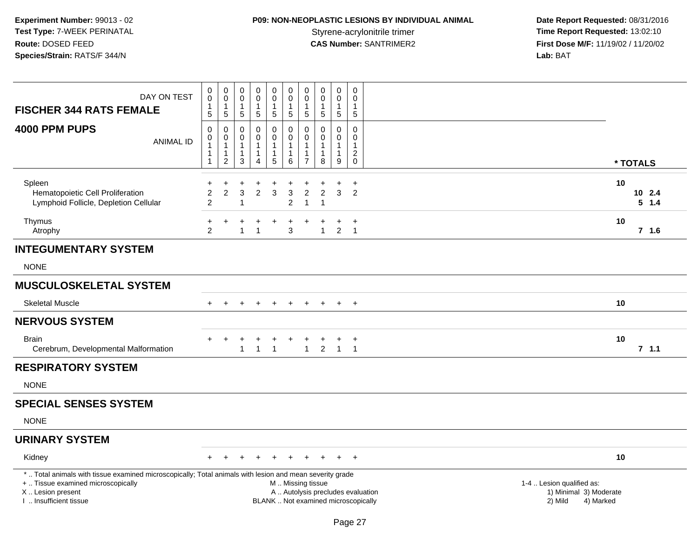# **P09: NON-NEOPLASTIC LESIONS BY INDIVIDUAL ANIMAL**

 **Date Report Requested:** 08/31/2016 Styrene-acrylonitrile trimer<br> **CAS Number:** SANTRIMER2 **Time Report Requested:** 13:02:10<br> **First Dose M/F:** 11/19/02 / 11/20/02 **First Dose M/F:** 11/19/02 / 11/20/02<br>Lab: BAT **Lab:** BAT

| DAY ON TEST<br><b>FISCHER 344 RATS FEMALE</b>                                                                                                                                                 | 0<br>0<br>$\mathbf{1}$<br>$\sqrt{5}$  | $_{\rm 0}^{\rm 0}$<br>$\overline{1}$<br>$\sqrt{5}$                           | 0<br>$\mathbf 0$<br>1<br>$5\,$                       | $\mathbf 0$<br>0<br>$\mathbf{1}$<br>5                | $\pmb{0}$<br>0<br>$\mathbf{1}$<br>5                                          | $\pmb{0}$<br>$\mathbf 0$<br>$\mathbf{1}$<br>$\sqrt{5}$                                        | $\pmb{0}$<br>$\mathbf 0$<br>$\mathbf{1}$<br>$\sqrt{5}$                           | $\pmb{0}$<br>$\mathbf 0$<br>$\mathbf{1}$<br>$\sqrt{5}$       | $\pmb{0}$<br>$\mathbf 0$<br>$\mathbf{1}$<br>$\overline{5}$      | $\mathbf 0$<br>$\mathbf 0$<br>1<br>$5\,$                               |                                                                |                           |
|-----------------------------------------------------------------------------------------------------------------------------------------------------------------------------------------------|---------------------------------------|------------------------------------------------------------------------------|------------------------------------------------------|------------------------------------------------------|------------------------------------------------------------------------------|-----------------------------------------------------------------------------------------------|----------------------------------------------------------------------------------|--------------------------------------------------------------|-----------------------------------------------------------------|------------------------------------------------------------------------|----------------------------------------------------------------|---------------------------|
| 4000 PPM PUPS<br><b>ANIMAL ID</b>                                                                                                                                                             | 0<br>$\pmb{0}$<br>1<br>1<br>1         | $\pmb{0}$<br>$\mathbf 0$<br>$\overline{1}$<br>$\mathbf{1}$<br>$\overline{2}$ | $\mathbf 0$<br>0<br>$\mathbf 1$<br>1<br>$\mathbf{3}$ | 0<br>$\Omega$<br>1<br>$\mathbf{1}$<br>$\overline{4}$ | $\mathbf 0$<br>$\mathbf 0$<br>$\mathbf{1}$<br>$\mathbf{1}$<br>$\overline{5}$ | 0<br>$\overline{0}$<br>$\overline{1}$<br>$\mathbf{1}$<br>6                                    | $\mathbf 0$<br>$\mathbf 0$<br>$\overline{1}$<br>$\overline{1}$<br>$\overline{7}$ | $\mathbf 0$<br>$\Omega$<br>$\mathbf{1}$<br>$\mathbf{1}$<br>8 | $\mathbf 0$<br>$\mathbf 0$<br>$\mathbf{1}$<br>$\mathbf{1}$<br>9 | 0<br>$\Omega$<br>$\mathbf{1}$<br>$\overline{c}$<br>$\mathsf{O}\xspace$ |                                                                | * TOTALS                  |
| Spleen<br>Hematopoietic Cell Proliferation<br>Lymphoid Follicle, Depletion Cellular                                                                                                           | +<br>$\overline{c}$<br>$\overline{2}$ | $\overline{2}$                                                               | $\mathbf{3}$<br>$\mathbf{1}$                         | $\overline{2}$                                       | $\ddot{}$<br>3                                                               | $\mathbf{3}$<br>$\overline{c}$                                                                | $\overline{c}$<br>$\overline{1}$                                                 | $\overline{c}$<br>$\mathbf{1}$                               | 3                                                               | $\ddot{}$<br>$\overline{2}$                                            |                                                                | 10<br>10 2.4<br>$5 \t1.4$ |
| Thymus<br>Atrophy                                                                                                                                                                             | $\ddot{}$<br>$\overline{2}$           |                                                                              | $\mathbf{1}$                                         | $\overline{1}$                                       | $\ddot{}$                                                                    | $\ddot{}$<br>3                                                                                |                                                                                  | $\mathbf{1}$                                                 | $\overline{2}$                                                  | $\ddot{}$<br>$\overline{\phantom{0}}$                                  |                                                                | 10<br>$7$ 1.6             |
| <b>INTEGUMENTARY SYSTEM</b>                                                                                                                                                                   |                                       |                                                                              |                                                      |                                                      |                                                                              |                                                                                               |                                                                                  |                                                              |                                                                 |                                                                        |                                                                |                           |
| <b>NONE</b>                                                                                                                                                                                   |                                       |                                                                              |                                                      |                                                      |                                                                              |                                                                                               |                                                                                  |                                                              |                                                                 |                                                                        |                                                                |                           |
| <b>MUSCULOSKELETAL SYSTEM</b>                                                                                                                                                                 |                                       |                                                                              |                                                      |                                                      |                                                                              |                                                                                               |                                                                                  |                                                              |                                                                 |                                                                        |                                                                |                           |
| <b>Skeletal Muscle</b>                                                                                                                                                                        |                                       |                                                                              |                                                      |                                                      |                                                                              |                                                                                               |                                                                                  |                                                              |                                                                 | $+$                                                                    |                                                                | 10                        |
| <b>NERVOUS SYSTEM</b>                                                                                                                                                                         |                                       |                                                                              |                                                      |                                                      |                                                                              |                                                                                               |                                                                                  |                                                              |                                                                 |                                                                        |                                                                |                           |
| <b>Brain</b><br>Cerebrum, Developmental Malformation                                                                                                                                          | $\pm$                                 | $\overline{+}$                                                               | $\ddot{}$<br>1                                       | -1                                                   | $\ddot{}$<br>$\overline{1}$                                                  | $\ddot{}$                                                                                     | $\ddot{}$<br>$\overline{1}$                                                      | $\ddot{}$<br>$\overline{2}$                                  | +<br>$\overline{1}$                                             | $\overline{1}$<br>$\overline{1}$                                       |                                                                | 10<br>7, 1.1              |
| <b>RESPIRATORY SYSTEM</b>                                                                                                                                                                     |                                       |                                                                              |                                                      |                                                      |                                                                              |                                                                                               |                                                                                  |                                                              |                                                                 |                                                                        |                                                                |                           |
| <b>NONE</b>                                                                                                                                                                                   |                                       |                                                                              |                                                      |                                                      |                                                                              |                                                                                               |                                                                                  |                                                              |                                                                 |                                                                        |                                                                |                           |
| <b>SPECIAL SENSES SYSTEM</b>                                                                                                                                                                  |                                       |                                                                              |                                                      |                                                      |                                                                              |                                                                                               |                                                                                  |                                                              |                                                                 |                                                                        |                                                                |                           |
| <b>NONE</b>                                                                                                                                                                                   |                                       |                                                                              |                                                      |                                                      |                                                                              |                                                                                               |                                                                                  |                                                              |                                                                 |                                                                        |                                                                |                           |
| <b>URINARY SYSTEM</b>                                                                                                                                                                         |                                       |                                                                              |                                                      |                                                      |                                                                              |                                                                                               |                                                                                  |                                                              |                                                                 |                                                                        |                                                                |                           |
| Kidney                                                                                                                                                                                        |                                       |                                                                              |                                                      |                                                      |                                                                              |                                                                                               |                                                                                  |                                                              |                                                                 | $\ddot{}$                                                              |                                                                | 10                        |
| *  Total animals with tissue examined microscopically; Total animals with lesion and mean severity grade<br>+  Tissue examined microscopically<br>X  Lesion present<br>I. Insufficient tissue |                                       |                                                                              |                                                      |                                                      |                                                                              | M  Missing tissue<br>A  Autolysis precludes evaluation<br>BLANK  Not examined microscopically |                                                                                  |                                                              |                                                                 |                                                                        | 1-4  Lesion qualified as:<br>1) Minimal 3) Moderate<br>2) Mild | 4) Marked                 |